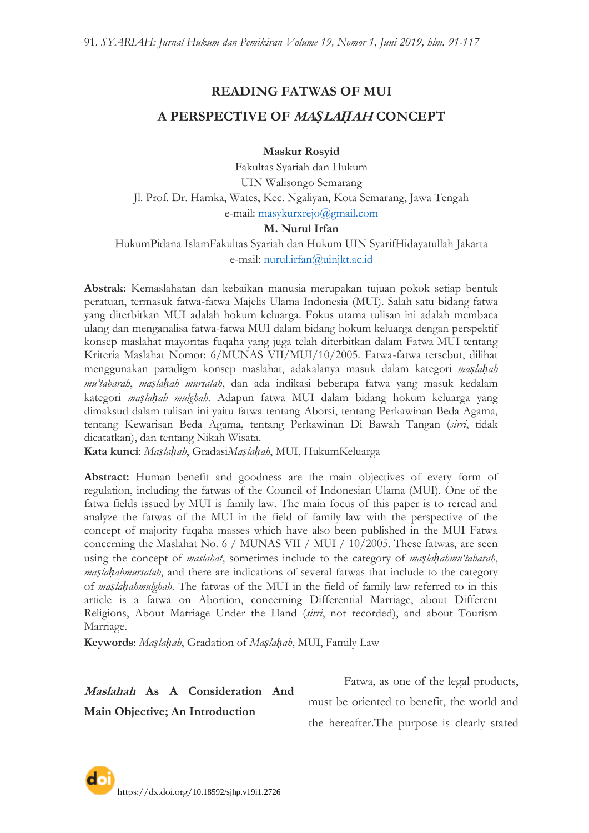# **READING FATWAS OF MUI A PERSPECTIVE OF MA***Ṣ***LA***Ḥ***AH CONCEPT**

**Maskur Rosyid**

Fakultas Syariah dan Hukum UIN Walisongo Semarang Jl. Prof. Dr. Hamka, Wates, Kec. Ngaliyan, Kota Semarang, Jawa Tengah e-mail: [masykurxrejo@gmail.com](mailto:masykurxrejo@gmail.com)

#### **M. Nurul Irfan**

HukumPidana IslamFakultas Syariah dan Hukum UIN SyarifHidayatullah Jakarta e-mail: [nurul.irfan@uinjkt.ac.id](mailto:nurul.irfan@uinjkt.ac.id)

**Abstrak:** Kemaslahatan dan kebaikan manusia merupakan tujuan pokok setiap bentuk peratuan, termasuk fatwa-fatwa Majelis Ulama Indonesia (MUI). Salah satu bidang fatwa yang diterbitkan MUI adalah hokum keluarga. Fokus utama tulisan ini adalah membaca ulang dan menganalisa fatwa-fatwa MUI dalam bidang hokum keluarga dengan perspektif konsep maslahat mayoritas fuqaha yang juga telah diterbitkan dalam Fatwa MUI tentang Kriteria Maslahat Nomor: 6/MUNAS VII/MUI/10/2005. Fatwa-fatwa tersebut, dilihat menggunakan paradigm konsep maslahat, adakalanya masuk dalam kategori *maṣlaḥah mu'tabarah*, *maṣlaḥah mursalah*, dan ada indikasi beberapa fatwa yang masuk kedalam kategori *maṣlaḥah mulghah*. Adapun fatwa MUI dalam bidang hokum keluarga yang dimaksud dalam tulisan ini yaitu fatwa tentang Aborsi, tentang Perkawinan Beda Agama, tentang Kewarisan Beda Agama, tentang Perkawinan Di Bawah Tangan (*sirri*, tidak dicatatkan), dan tentang Nikah Wisata.

**Kata kunci**: *Maṣlaḥah*, Gradasi*Maṣlaḥah*, MUI, HukumKeluarga

Abstract: Human benefit and goodness are the main objectives of every form of regulation, including the fatwas of the Council of Indonesian Ulama (MUI). One of the fatwa fields issued by MUI is family law. The main focus of this paper is to reread and analyze the fatwas of the MUI in the field of family law with the perspective of the concept of majority fuqaha masses which have also been published in the MUI Fatwa concerning the Maslahat No. 6 / MUNAS VII / MUI / 10/2005. These fatwas, are seen using the concept of *maslahat*, sometimes include to the category of *maslahahmu'tabarah*, *maṣlaḥahmursalah*, and there are indications of several fatwas that include to the category of *maṣlaḥahmulghah*. The fatwas of the MUI in the field of family law referred to in this article is a fatwa on Abortion, concerning Differential Marriage, about Different Religions, About Marriage Under the Hand (*sirri*, not recorded), and about Tourism Marriage.

**Keywords**: *Maṣlaḥah*, Gradation of *Maṣlaḥah*, MUI, Family Law

**Maslahah As A Consideration And** 

**Main Objective; An Introduction**

Fatwa, as one of the legal products, must be oriented to benefit, the world and the hereafter.The purpose is clearly stated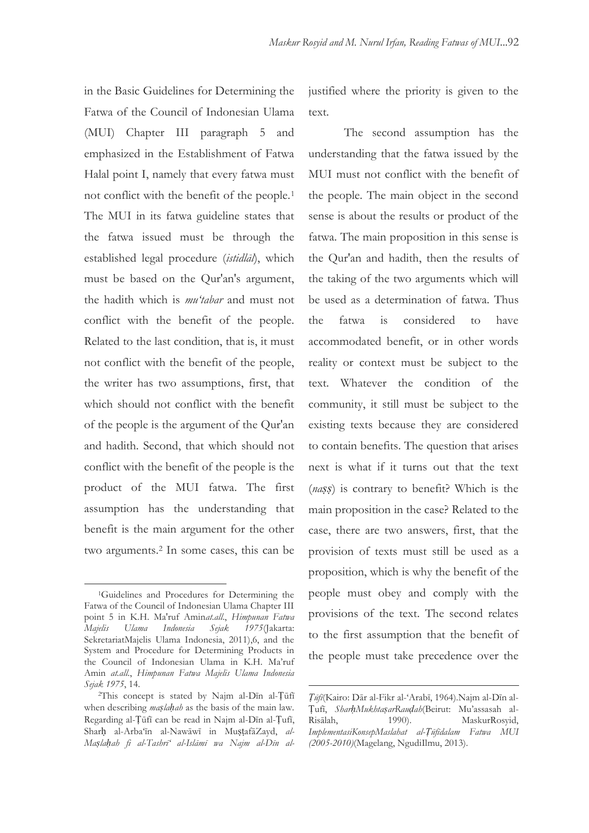in the Basic Guidelines for Determining the Fatwa of the Council of Indonesian Ulama (MUI) Chapter III paragraph 5 and emphasized in the Establishment of Fatwa Halal point I, namely that every fatwa must not conflict with the benefit of the people.<sup>1</sup> The MUI in its fatwa guideline states that the fatwa issued must be through the established legal procedure (*istidlāl*), which must be based on the Qur'an's argument, the hadith which is *mu'tabar* and must not conflict with the benefit of the people. Related to the last condition, that is, it must not conflict with the benefit of the people, the writer has two assumptions, first, that which should not conflict with the benefit of the people is the argument of the Qur'an and hadith. Second, that which should not conflict with the benefit of the people is the product of the MUI fatwa. The first assumption has the understanding that benefit is the main argument for the other two arguments.<sup>2</sup> In some cases, this can be

 $\overline{a}$ 

justified where the priority is given to the text.

The second assumption has the understanding that the fatwa issued by the MUI must not conflict with the benefit of the people. The main object in the second sense is about the results or product of the fatwa. The main proposition in this sense is the Qur'an and hadith, then the results of the taking of the two arguments which will be used as a determination of fatwa. Thus the fatwa is considered to have accommodated benefit, or in other words reality or context must be subject to the text. Whatever the condition of the community, it still must be subject to the existing texts because they are considered to contain benefits. The question that arises next is what if it turns out that the text (*naṣṣ*) is contrary to benefit? Which is the main proposition in the case? Related to the case, there are two answers, first, that the provision of texts must still be used as a proposition, which is why the benefit of the people must obey and comply with the provisions of the text. The second relates to the first assumption that the benefit of the people must take precedence over the

<sup>1</sup>Guidelines and Procedures for Determining the Fatwa of the Council of Indonesian Ulama Chapter III point 5 in K.H. Ma'ruf Amin*at.all*., *Himpunan Fatwa Majelis Ulama Indonesia Sejak 1975*(Jakarta: SekretariatMajelis Ulama Indonesia, 2011),6, and the System and Procedure for Determining Products in the Council of Indonesian Ulama in K.H. Ma"ruf Amin *at.all.*, *Himpunan Fatwa Majelis Ulama Indonesia Sejak 1975*, 14.

<sup>2</sup>This concept is stated by Najm al-Dīn al-Ṭūfī when describing *maṣlaḥah* as the basis of the main law. Regarding al-Ṭūfī can be read in Najm al-Dīn al-Ṭufī, Sharḥ al-Arba"īn al-Nawāwī in MuṣṭafāZayd, *al-Maṣlaḥah fi al-Tashrī' al-Islāmī wa Najm al-Dīn al-*

*Ṭūfī*(Kairo: Dār al-Fikr al-"Arabī, 1964).Najm al-Dīn al-Ṭufī, *SharḥMukhtaṣarRauḍah*(Beirut: Mu"assasah al-Risālah, 1990). MaskurRosyid, *ImplementasiKonsepMaslahat al-Ṭūfīdalam Fatwa MUI (2005-2010)*(Magelang, NgudiIlmu, 2013).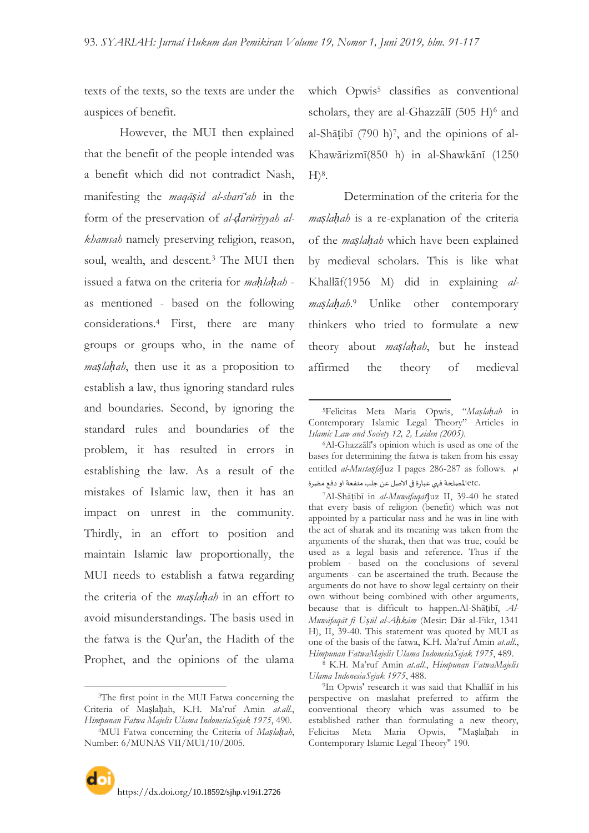-

texts of the texts, so the texts are under the auspices of benefit.

However, the MUI then explained that the benefit of the people intended was a benefit which did not contradict Nash, manifesting the *maqāṣid al-sharī'ah* in the form of the preservation of *al-ḍarūriyyah alkhamsah* namely preserving religion, reason, soul, wealth, and descent.<sup>3</sup> The MUI then issued a fatwa on the criteria for *maḥlaḥah* as mentioned - based on the following considerations.<sup>4</sup> First, there are many groups or groups who, in the name of *maṣlaḥah*, then use it as a proposition to establish a law, thus ignoring standard rules and boundaries. Second, by ignoring the standard rules and boundaries of the problem, it has resulted in errors in establishing the law. As a result of the mistakes of Islamic law, then it has an impact on unrest in the community. Thirdly, in an effort to position and maintain Islamic law proportionally, the MUI needs to establish a fatwa regarding the criteria of the *maṣlaḥah* in an effort to avoid misunderstandings. The basis used in the fatwa is the Qur'an, the Hadith of the Prophet, and the opinions of the ulama

 $\overline{a}$ 

which Opwis<sup>5</sup> classifies as conventional scholars, they are al-Ghazzālī (505 H)<sup>6</sup> and al-Shāṭibī (790 h)<sup>7</sup> , and the opinions of al-Khawārizmī(850 h) in al-Shawkānī (1250  $H$ <sup>8</sup>.

Determination of the criteria for the *maṣlaḥah* is a re-explanation of the criteria of the *maṣlaḥah* which have been explained by medieval scholars. This is like what Khallāf(1956 M) did in explaining *almaṣlaḥah*. <sup>9</sup> Unlike other contemporary thinkers who tried to formulate a new theory about *maṣlaḥah*, but he instead affirmed the theory of medieval

<sup>7</sup>Al-Shāṭibī in *al-Muwāfaqāt*Juz II, 39-40 he stated that every basis of religion (benefit) which was not appointed by a particular nass and he was in line with the act of sharak and its meaning was taken from the arguments of the sharak, then that was true, could be used as a legal basis and reference. Thus if the problem - based on the conclusions of several arguments - can be ascertained the truth. Because the arguments do not have to show legal certainty on their own without being combined with other arguments, because that is difficult to happen.Al-Shāṭibī, *Al-Muwāfaqāt fi Uṣūl al-Aḥkām* (Mesir: Dār al-Fikr, 1341 H), II, 39-40. This statement was quoted by MUI as one of the basis of the fatwa, K.H. Ma"ruf Amin *at.all*., *Himpunan FatwaMajelis Ulama IndonesiaSejak 1975*, 489.

<sup>3</sup>The first point in the MUI Fatwa concerning the Criteria of Maṣlaḥah, K.H. Ma"ruf Amin *at.all*., *Himpunan Fatwa Majelis Ulama IndonesiaSejak 1975*, 490.

<sup>4</sup>MUI Fatwa concerning the Criteria of *Maṣlaḥah*, Number: 6/MUNAS VII/MUI/10/2005.

<sup>5</sup>Felicitas Meta Maria Opwis, "*Maṣlaḥah* in Contemporary Islamic Legal Theory" Articles in *Islamic Law and Society 12, 2, Leiden (2005)*.

<sup>6</sup>Al-Ghazzālī's opinion which is used as one of the bases for determining the fatwa is taken from his essay entitled *al-Mustaṣfā*Juz I pages 286-287 as follows. ام .etcالمصلحة فهي عبارة في الاصل عن جلب منفعة او دفع مضرة

<sup>8</sup> K.H. Ma"ruf Amin *at.all*., *Himpunan FatwaMajelis Ulama IndonesiaSejak 1975*, 488.

<sup>9</sup>In Opwis' research it was said that Khallāf in his perspective on maslahat preferred to affirm the conventional theory which was assumed to be established rather than formulating a new theory, Felicitas Meta Maria Opwis, "Maṣlaḥah in Contemporary Islamic Legal Theory" 190.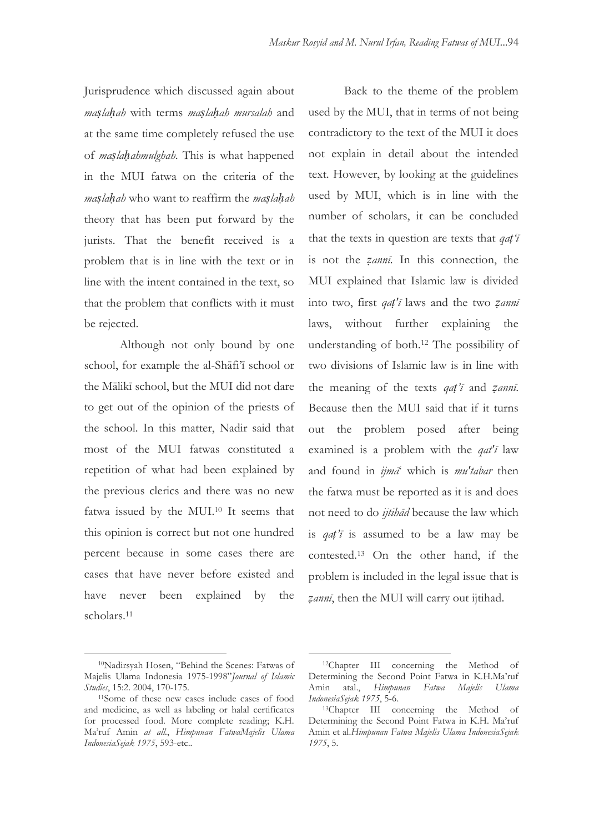Jurisprudence which discussed again about *maṣlaḥah* with terms *maṣlaḥah mursalah* and at the same time completely refused the use of *maṣlaḥahmulghah*. This is what happened in the MUI fatwa on the criteria of the *maṣlaḥah* who want to reaffirm the *maṣlaḥah* theory that has been put forward by the jurists. That the benefit received is a problem that is in line with the text or in line with the intent contained in the text, so that the problem that conflicts with it must be rejected.

Although not only bound by one school, for example the al-Shafi'i school or the Mālikī school, but the MUI did not dare to get out of the opinion of the priests of the school. In this matter, Nadir said that most of the MUI fatwas constituted a repetition of what had been explained by the previous clerics and there was no new fatwa issued by the MUI.<sup>10</sup> It seems that this opinion is correct but not one hundred percent because in some cases there are cases that have never before existed and have never been explained by the scholars.<sup>11</sup>

Back to the theme of the problem used by the MUI, that in terms of not being contradictory to the text of the MUI it does not explain in detail about the intended text. However, by looking at the guidelines used by MUI, which is in line with the number of scholars, it can be concluded that the texts in question are texts that *qaṭ'ī* is not the *ẓannī*. In this connection, the MUI explained that Islamic law is divided into two, first *qaṭ'ī* laws and the two *ẓannī* laws, without further explaining the understanding of both.<sup>12</sup> The possibility of two divisions of Islamic law is in line with the meaning of the texts *qaṭ'ī* and *ẓannī*. Because then the MUI said that if it turns out the problem posed after being examined is a problem with the *qat'ī* law and found in *ijmā*" which is *mu'tabar* then the fatwa must be reported as it is and does not need to do *ijtihād* because the law which is *qaṭ'ī* is assumed to be a law may be contested.<sup>13</sup> On the other hand, if the problem is included in the legal issue that is *ẓannī*, then the MUI will carry out ijtihad.

 $\overline{a}$ 

<sup>10</sup>Nadirsyah Hosen, "Behind the Scenes: Fatwas of Majelis Ulama Indonesia 1975-1998"*Journal of Islamic Studies*, 15:2. 2004, 170-175.

<sup>11</sup>Some of these new cases include cases of food and medicine, as well as labeling or halal certificates for processed food. More complete reading; K.H. Ma"ruf Amin *at all.*, *Himpunan FatwaMajelis Ulama IndonesiaSejak 1975*, 593-etc..

<sup>12</sup>Chapter III concerning the Method of Determining the Second Point Fatwa in K.H.Ma"ruf Amin atal., *Himpunan Fatwa Majelis Ulama IndonesiaSejak 1975*, 5-6.

<sup>13</sup>Chapter III concerning the Method of Determining the Second Point Fatwa in K.H. Ma"ruf Amin et al.*Himpunan Fatwa Majelis Ulama IndonesiaSejak 1975*, 5.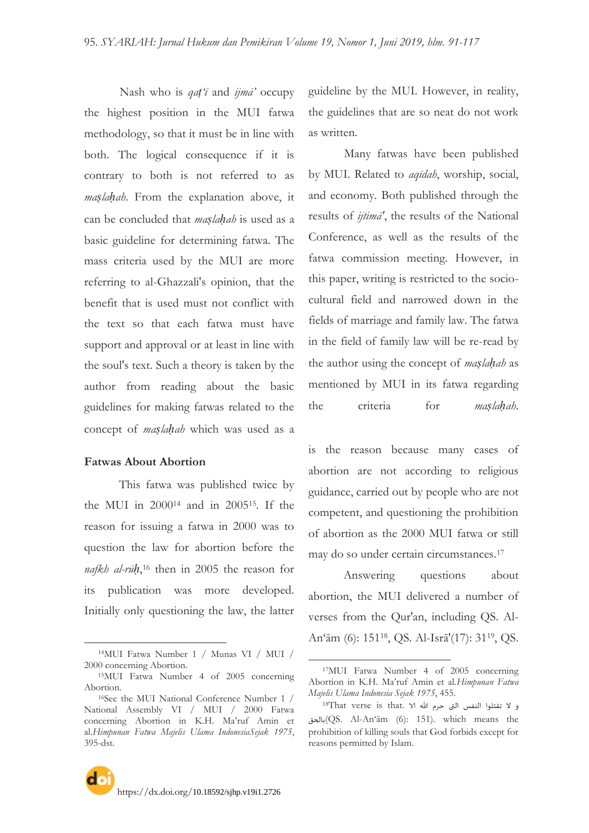Nash who is *qaṭ'ī* and *ijmā'* occupy the highest position in the MUI fatwa methodology, so that it must be in line with both. The logical consequence if it is contrary to both is not referred to as *maṣlaḥah*. From the explanation above, it can be concluded that *maṣlaḥah* is used as a basic guideline for determining fatwa. The mass criteria used by the MUI are more referring to al-Ghazzali's opinion, that the benefit that is used must not conflict with the text so that each fatwa must have support and approval or at least in line with the soul's text. Such a theory is taken by the author from reading about the basic guidelines for making fatwas related to the concept of *maṣlaḥah* which was used as a

#### **Fatwas About Abortion**

-

This fatwa was published twice by the MUI in 2000<sup>14</sup> and in 200515. If the reason for issuing a fatwa in 2000 was to question the law for abortion before the *nafkh al-rūḥ*, <sup>16</sup> then in 2005 the reason for its publication was more developed. Initially only questioning the law, the latter

guideline by the MUI. However, in reality, the guidelines that are so neat do not work as written.

Many fatwas have been published by MUI. Related to *aqīdah*, worship, social, and economy. Both published through the results of *ijtimā'*, the results of the National Conference, as well as the results of the fatwa commission meeting. However, in this paper, writing is restricted to the sociocultural field and narrowed down in the fields of marriage and family law. The fatwa in the field of family law will be re-read by the author using the concept of *maṣlaḥah* as mentioned by MUI in its fatwa regarding the criteria for *maṣlaḥah*.

is the reason because many cases of abortion are not according to religious guidance, carried out by people who are not competent, and questioning the prohibition of abortion as the 2000 MUI fatwa or still may do so under certain circumstances.<sup>17</sup>

Answering questions about abortion, the MUI delivered a number of verses from the Qur'an, including QS. Al-An"ām (6): 15118, QS. Al-Isrā'(17): 3119, QS.

<sup>14</sup>MUI Fatwa Number 1 / Munas VI / MUI / 2000 concerning Abortion.

<sup>15</sup>MUI Fatwa Number 4 of 2005 concerning Abortion.

<sup>16</sup>See the MUI National Conference Number 1 / National Assembly VI / MUI / 2000 Fatwa concerning Abortion in K.H. Ma"ruf Amin et al.*Himpunan Fatwa Majelis Ulama IndonesiaSejak 1975*, 395-dst.

<sup>17</sup>MUI Fatwa Number 4 of 2005 concerning Abortion in K.H. Ma"ruf Amin et al.*Himpunan Fatwa Majelis Ulama Indonesia Sejak 1975*, 455.

و لا تقتلوا النفس التى حرم الله الا 18That verse is that. ١ بالحق)QS. Al-An"ām (6): 151). which means the prohibition of killing souls that God forbids except for reasons permitted by Islam.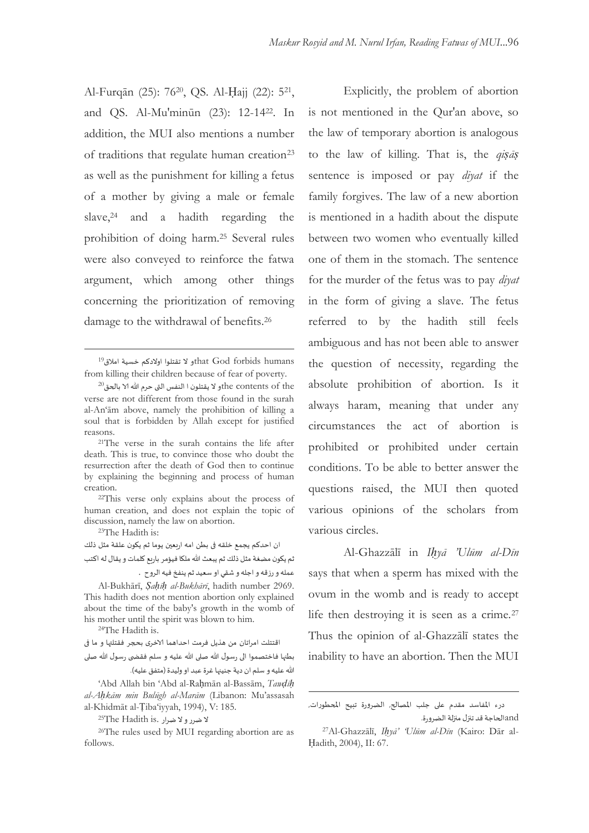Al-Furqān (25): 7620, QS. Al-Ḥajj (22): 5<sup>21</sup> , and QS. Al-Mu'minūn (23): 12-1422. In addition, the MUI also mentions a number of traditions that regulate human creation<sup>23</sup> as well as the punishment for killing a fetus of a mother by giving a male or female slave, $24$  and a hadith regarding the prohibition of doing harm.<sup>25</sup> Several rules were also conveyed to reinforce the fatwa argument, which among other things concerning the prioritization of removing damage to the withdrawal of benefits.<sup>26</sup>

<sup>21</sup>The verse in the surah contains the life after death. This is true, to convince those who doubt the resurrection after the death of God then to continue by explaining the beginning and process of human creation.

<sup>22</sup>This verse only explains about the process of human creation, and does not explain the topic of discussion, namely the law on abortion.

<sup>23</sup>The Hadith is:

 $\overline{a}$ 

ان احدكم يجمع خلقه فى بطن امه اربعين يوما ثم يكون علقة مثل ذلك ثم يكون مضغة مثل ذلك ثم يبعث الله ملكا فيؤمر باربع كلمات و يقال له اكتب عمله و رزقه و اجله و شقي او سعيد ثم ينفخ فيه الروح .

Al-Bukhārī, *Ṣaḥīḥ al-Bukhārī*, hadith number 2969. This hadith does not mention abortion only explained about the time of the baby's growth in the womb of his mother until the spirit was blown to him.

<sup>24</sup>The Hadith is.

اقتتلت امراتان من هذيل فرمت احداهما الاخرى بحجر فقتلتها و ما فى

بطنها فاختصموا الى رسول الله صلى الله عليه و سلم فقضى رسول الله صلى الله عليه و سلم ان دية جنينها غرة عبد او وليدة (متفق عليه).

"Abd Allah bin "Abd al-Raḥmān al-Bassām, *Tawḍīḥ al-Aḥkām min Bulūgh al-Marām* (Libanon: Mu"assasah al-Khidmāt al-Ṭiba"iyyah, 1994), V: 185.

لا ضرر و لا ضرار .<sup>25</sup>The Hadith is

<sup>26</sup>The rules used by MUI regarding abortion are as follows.

Explicitly, the problem of abortion is not mentioned in the Qur'an above, so the law of temporary abortion is analogous to the law of killing. That is, the *qiṣāṣ* sentence is imposed or pay *diyat* if the family forgives. The law of a new abortion is mentioned in a hadith about the dispute between two women who eventually killed one of them in the stomach. The sentence for the murder of the fetus was to pay *diyat* in the form of giving a slave. The fetus referred to by the hadith still feels ambiguous and has not been able to answer the question of necessity, regarding the absolute prohibition of abortion. Is it always haram, meaning that under any circumstances the act of abortion is prohibited or prohibited under certain conditions. To be able to better answer the questions raised, the MUI then quoted various opinions of the scholars from various circles.

Al-Ghazzālī in *Iḥyā 'Ulūm al-Dīn* says that when a sperm has mixed with the ovum in the womb and is ready to accept life then destroying it is seen as a crime.<sup>27</sup> Thus the opinion of al-Ghazzālī states the inability to have an abortion. Then the MUI

-

andالحاجة قد تنزل منزلة الضرورة.

 $^{19}$ hat God forbids humans و لا تقتلوا اولادكم خسية املاق $^{\text{19}}$ from killing their children because of fear of poverty.

 $^{20}$ the contents of theو لا يقتلون ا النفس التى حرم الله الا بالحق $^{20}$ verse are not different from those found in the surah al-An"ām above, namely the prohibition of killing a soul that is forbidden by Allah except for justified reasons.

درء المفاسد مقدم على جلب المصالح, الضرورة تبيح المحطورات,

<sup>27</sup>Al-Ghazzālī, *Iḥyā' 'Ulūm al-Dīn* (Kairo: Dār al-Ḥadith, 2004), II: 67.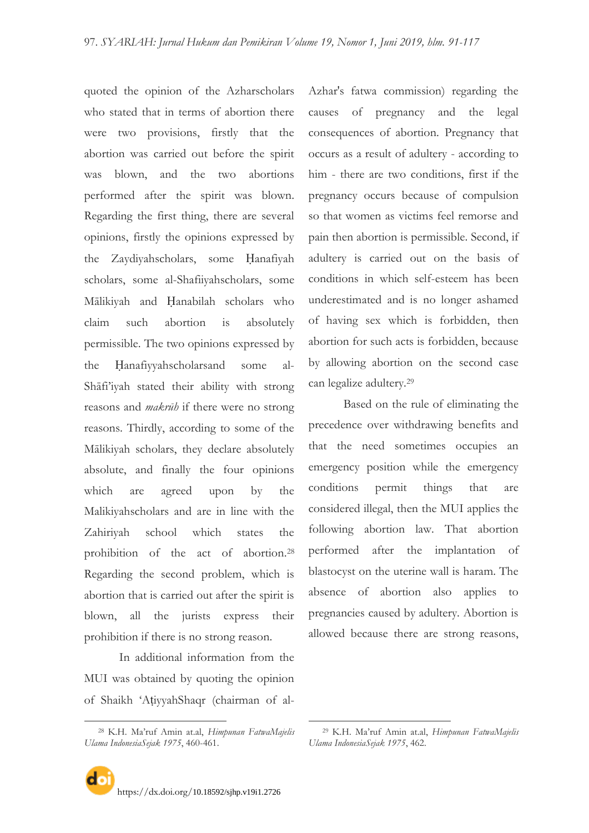quoted the opinion of the Azharscholars who stated that in terms of abortion there were two provisions, firstly that the abortion was carried out before the spirit was blown, and the two abortions performed after the spirit was blown. Regarding the first thing, there are several opinions, firstly the opinions expressed by the Zaydiyahscholars, some Ḥanafiyah scholars, some al-Shafiiyahscholars, some Mālikiyah and Ḥanabilah scholars who claim such abortion is absolutely permissible. The two opinions expressed by the Ḥanafiyyahscholarsand some al-Shāfi"iyah stated their ability with strong reasons and *makrūh* if there were no strong reasons. Thirdly, according to some of the Mālikiyah scholars, they declare absolutely absolute, and finally the four opinions which are agreed upon by the Malikiyahscholars and are in line with the Zahiriyah school which states the prohibition of the act of abortion.<sup>28</sup> Regarding the second problem, which is abortion that is carried out after the spirit is blown, all the jurists express their prohibition if there is no strong reason.

In additional information from the MUI was obtained by quoting the opinion of Shaikh "AṭiyyahShaqr (chairman of al-

-

https://dx.doi.org/[10.18592/sjhp.v19i1.2726](https://dx.doi.org/10.18592/sjhp.v19i1.2726)

Azhar's fatwa commission) regarding the causes of pregnancy and the legal consequences of abortion. Pregnancy that occurs as a result of adultery - according to him - there are two conditions, first if the pregnancy occurs because of compulsion so that women as victims feel remorse and pain then abortion is permissible. Second, if adultery is carried out on the basis of conditions in which self-esteem has been underestimated and is no longer ashamed of having sex which is forbidden, then abortion for such acts is forbidden, because by allowing abortion on the second case can legalize adultery.<sup>29</sup>

Based on the rule of eliminating the precedence over withdrawing benefits and that the need sometimes occupies an emergency position while the emergency conditions permit things that are considered illegal, then the MUI applies the following abortion law. That abortion performed after the implantation of blastocyst on the uterine wall is haram. The absence of abortion also applies to pregnancies caused by adultery. Abortion is allowed because there are strong reasons,

-

<sup>28</sup> K.H. Ma"ruf Amin at.al, *Himpunan FatwaMajelis Ulama IndonesiaSejak 1975*, 460-461.

<sup>29</sup> K.H. Ma"ruf Amin at.al, *Himpunan FatwaMajelis Ulama IndonesiaSejak 1975*, 462.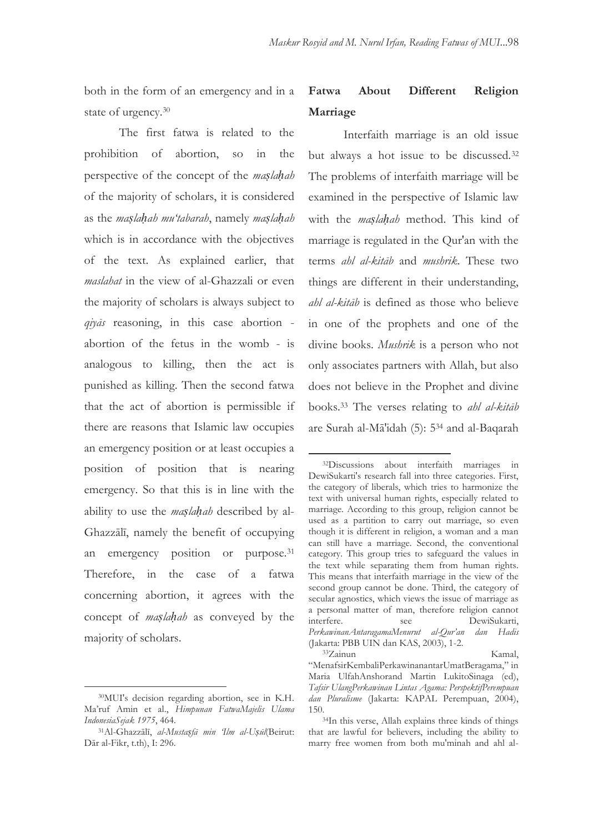both in the form of an emergency and in a state of urgency.<sup>30</sup>

The first fatwa is related to the prohibition of abortion, so in the perspective of the concept of the *maṣlaḥah* of the majority of scholars, it is considered as the *maṣlaḥah mu'tabarah*, namely *maṣlaḥah* which is in accordance with the objectives of the text. As explained earlier, that *maslahat* in the view of al-Ghazzali or even the majority of scholars is always subject to *qiyās* reasoning, in this case abortion abortion of the fetus in the womb - is analogous to killing, then the act is punished as killing. Then the second fatwa that the act of abortion is permissible if there are reasons that Islamic law occupies an emergency position or at least occupies a position of position that is nearing emergency. So that this is in line with the ability to use the *maṣlaḥah* described by al-Ghazzālī, namely the benefit of occupying an emergency position or purpose.<sup>31</sup> Therefore, in the case of a fatwa concerning abortion, it agrees with the concept of *maṣlaḥah* as conveyed by the majority of scholars.

 $\overline{a}$ 

# **Fatwa About Different Religion Marriage**

Interfaith marriage is an old issue but always a hot issue to be discussed.<sup>32</sup> The problems of interfaith marriage will be examined in the perspective of Islamic law with the *maṣlaḥah* method. This kind of marriage is regulated in the Qur'an with the terms *ahl al-kitāb* and *mushrik*. These two things are different in their understanding, *ahl al-kitāb* is defined as those who believe in one of the prophets and one of the divine books. *Mushrik* is a person who not only associates partners with Allah, but also does not believe in the Prophet and divine books.<sup>33</sup> The verses relating to *ahl al-kitāb* are Surah al-Mā'idah (5): 5<sup>34</sup> and al-Baqarah

-

<sup>30</sup>MUI's decision regarding abortion, see in K.H. Ma"ruf Amin et al., *Himpunan FatwaMajelis Ulama IndonesiaSejak 1975*, 464.

<sup>31</sup>Al-Ghazzālī, *al-Mustaṣfā min 'Ilm al-Uṣūl*(Beirut: Dār al-Fikr, t.th), I: 296.

<sup>32</sup>Discussions about interfaith marriages in DewiSukarti's research fall into three categories. First, the category of liberals, which tries to harmonize the text with universal human rights, especially related to marriage. According to this group, religion cannot be used as a partition to carry out marriage, so even though it is different in religion, a woman and a man can still have a marriage. Second, the conventional category. This group tries to safeguard the values in the text while separating them from human rights. This means that interfaith marriage in the view of the second group cannot be done. Third, the category of secular agnostics, which views the issue of marriage as a personal matter of man, therefore religion cannot interfere. see DewiSukarti, *PerkawinanAntaragamaMenurut al-Qur'an dan Hadis* (Jakarta: PBB UIN dan KAS, 2003), 1-2. <sup>33</sup>Zainun Kamal,

<sup>&</sup>quot;MenafsirKembaliPerkawinanantarUmatBeragama," in Maria UlfahAnshorand Martin LukitoSinaga (ed), *Tafsir UlangPerkawinan Lintas Agama: PerspektifPerempuan dan Pluralisme* (Jakarta: KAPAL Perempuan, 2004), 150.

<sup>34</sup>In this verse, Allah explains three kinds of things that are lawful for believers, including the ability to marry free women from both mu'minah and ahl al-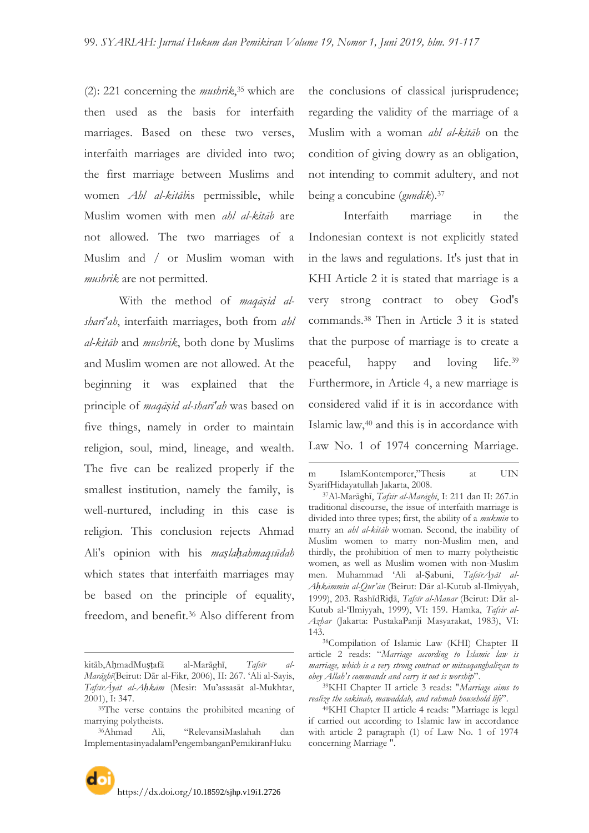(2): 221 concerning the *mushrik*, <sup>35</sup> which are then used as the basis for interfaith marriages. Based on these two verses, interfaith marriages are divided into two; the first marriage between Muslims and women *Ahl al-kitāb*is permissible, while Muslim women with men *ahl al-kitāb* are not allowed. The two marriages of a Muslim and / or Muslim woman with *mushrik* are not permitted.

With the method of *maqāṣid alsharī'ah*, interfaith marriages, both from *ahl al-kitāb* and *mushrik*, both done by Muslims and Muslim women are not allowed. At the beginning it was explained that the principle of *maqāṣid al-sharī'ah* was based on five things, namely in order to maintain religion, soul, mind, lineage, and wealth. The five can be realized properly if the smallest institution, namely the family, is well-nurtured, including in this case is religion. This conclusion rejects Ahmad Ali's opinion with his *maṣlaḥahmaqsūdah* which states that interfaith marriages may be based on the principle of equality, freedom, and benefit.<sup>36</sup> Also different from

 $\overline{a}$ 

the conclusions of classical jurisprudence; regarding the validity of the marriage of a Muslim with a woman *ahl al-kitāb* on the condition of giving dowry as an obligation, not intending to commit adultery, and not being a concubine (*gundik*).<sup>37</sup>

Interfaith marriage in the Indonesian context is not explicitly stated in the laws and regulations. It's just that in KHI Article 2 it is stated that marriage is a very strong contract to obey God's commands.<sup>38</sup> Then in Article 3 it is stated that the purpose of marriage is to create a peaceful, happy and loving life.<sup>39</sup> Furthermore, in Article 4, a new marriage is considered valid if it is in accordance with Islamic law,<sup>40</sup> and this is in accordance with Law No. 1 of 1974 concerning Marriage.

 $\overline{a}$ m IslamKontemporer,"Thesis at UIN SyarifHidayatullah Jakarta, 2008.

<sup>37</sup>Al-Marāghī, *Tafsīr al-Marāghī*, I: 211 dan II: 267.in traditional discourse, the issue of interfaith marriage is divided into three types; first, the ability of a *mukmin* to marry an *ahl al-kitāb* woman. Second, the inability of Muslim women to marry non-Muslim men, and thirdly, the prohibition of men to marry polytheistic women, as well as Muslim women with non-Muslim men. Muhammad "Ali al-Ṣabuni, *TafsīrĀyāt al-Aḥkāmmin al-Qur'ān* (Beirut: Dār al-Kutub al-Ilmiyyah, 1999), 203. RashīdRiḍā, *Tafsīr al-Manar* (Beirut: Dār al-Kutub al-"Ilmiyyah, 1999), VI: 159. Hamka, *Tafsir al-Azhar* (Jakarta: PustakaPanji Masyarakat, 1983), VI: 143.

<sup>38</sup>Compilation of Islamic Law (KHI) Chapter II article 2 reads: "*Marriage according to Islamic law is marriage, which is a very strong contract or mitsaqanghalizan to obey Allah's commands and carry it out is worship*".

<sup>39</sup>KHI Chapter II article 3 reads: "*Marriage aims to realize the sakinah, mawaddah, and rahmah household life*".

<sup>40</sup>KHI Chapter II article 4 reads: "Marriage is legal if carried out according to Islamic law in accordance with article 2 paragraph (1) of Law No. 1 of 1974 concerning Marriage ".

kitāb,AḥmadMuṣṭafā al-Marāghī, *Tafsīr al-Marāghī*(Beirut: Dār al-Fikr, 2006), II: 267. "Ali al-Sayis, *TafsīrĀyāt al-Aḥkām* (Mesir: Mu"assasāt al-Mukhtar, 2001), I: 347.

<sup>35</sup>The verse contains the prohibited meaning of marrying polytheists.

<sup>36</sup>Ahmad Ali, "RelevansiMaslahah dan ImplementasinyadalamPengembanganPemikiranHuku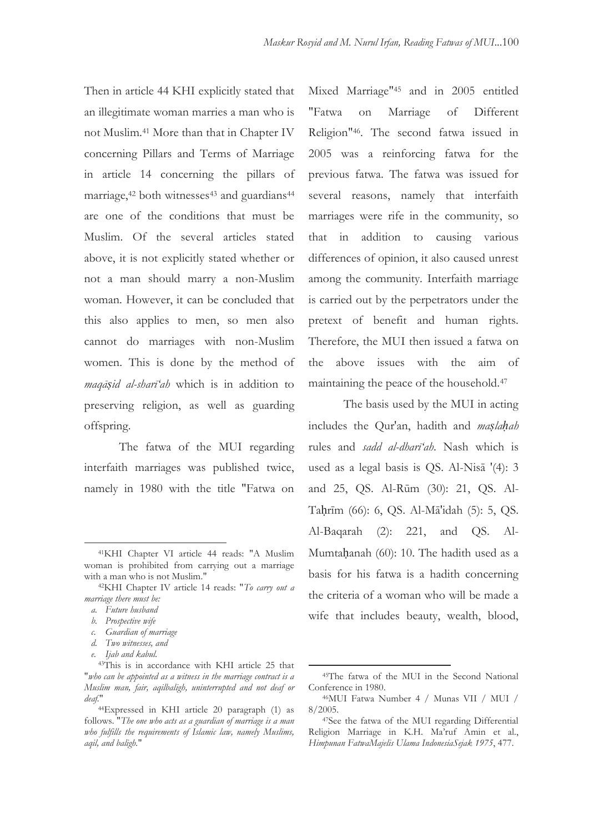Then in article 44 KHI explicitly stated that an illegitimate woman marries a man who is not Muslim.<sup>41</sup> More than that in Chapter IV concerning Pillars and Terms of Marriage in article 14 concerning the pillars of marriage,<sup>42</sup> both witnesses<sup>43</sup> and guardians<sup>44</sup> are one of the conditions that must be Muslim. Of the several articles stated above, it is not explicitly stated whether or not a man should marry a non-Muslim woman. However, it can be concluded that this also applies to men, so men also cannot do marriages with non-Muslim women. This is done by the method of *maqāṣid al-sharī'ah* which is in addition to preserving religion, as well as guarding offspring.

The fatwa of the MUI regarding interfaith marriages was published twice, namely in 1980 with the title "Fatwa on

 $\overline{a}$ 

*c. Guardian of marriage*

Mixed Marriage"<sup>45</sup> and in 2005 entitled "Fatwa on Marriage of Different Religion"46. The second fatwa issued in 2005 was a reinforcing fatwa for the previous fatwa. The fatwa was issued for several reasons, namely that interfaith marriages were rife in the community, so that in addition to causing various differences of opinion, it also caused unrest among the community. Interfaith marriage is carried out by the perpetrators under the pretext of benefit and human rights. Therefore, the MUI then issued a fatwa on the above issues with the aim of maintaining the peace of the household.<sup>47</sup>

The basis used by the MUI in acting includes the Qur'an, hadith and *maṣlaḥah* rules and *sadd al-dharī'ah*. Nash which is used as a legal basis is QS. Al-Nisā '(4): 3 and 25, QS. Al-Rūm (30): 21, QS. Al-Taḥrīm (66): 6, QS. Al-Mā'idah (5): 5, QS. Al-Baqarah (2): 221, and QS. Al-Mumtaḥanah (60): 10. The hadith used as a basis for his fatwa is a hadith concerning the criteria of a woman who will be made a wife that includes beauty, wealth, blood,

<sup>41</sup>KHI Chapter VI article 44 reads: "A Muslim woman is prohibited from carrying out a marriage with a man who is not Muslim."

<sup>42</sup>KHI Chapter IV article 14 reads: "*To carry out a marriage there must be:*

*a. Future husband*

*b. Prospective wife*

*d. Two witnesses, and*

*e. Ijab and kabul.*

<sup>43</sup>This is in accordance with KHI article 25 that "*who can be appointed as a witness in the marriage contract is a Muslim man, fair, aqilbaligh, uninterrupted and not deaf or deaf.*"

<sup>44</sup>Expressed in KHI article 20 paragraph (1) as follows. "*The one who acts as a guardian of marriage is a man who fulfills the requirements of Islamic law, namely Muslims, aqil, and baligh.*"

<sup>45</sup>The fatwa of the MUI in the Second National Conference in 1980.

<sup>46</sup>MUI Fatwa Number 4 / Munas VII / MUI / 8/2005.

<sup>47</sup>See the fatwa of the MUI regarding Differential Religion Marriage in K.H. Ma"ruf Amin et al., *Himpunan FatwaMajelis Ulama IndonesiaSejak 1975*, 477.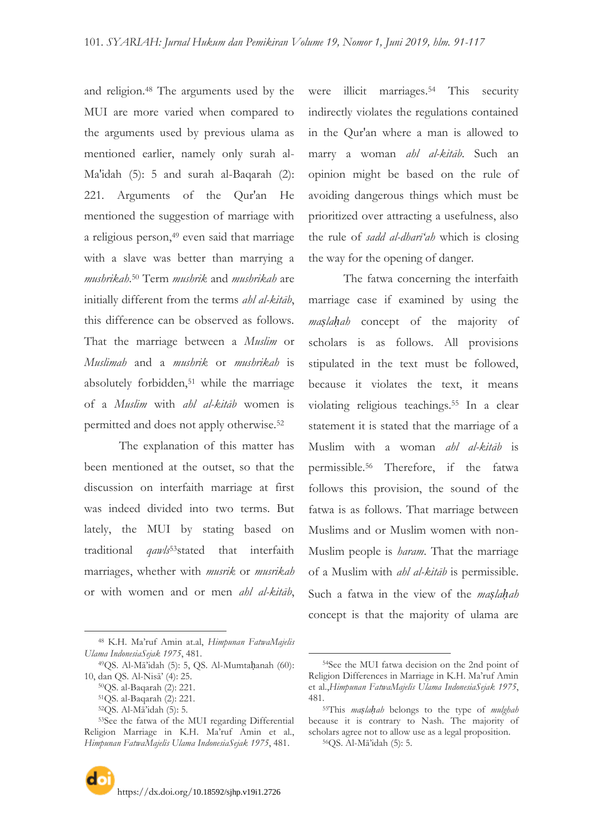and religion.<sup>48</sup> The arguments used by the MUI are more varied when compared to the arguments used by previous ulama as mentioned earlier, namely only surah al-Ma'idah (5): 5 and surah al-Baqarah (2): 221. Arguments of the Qur'an He mentioned the suggestion of marriage with a religious person,<sup>49</sup> even said that marriage with a slave was better than marrying a *mushrikah*. <sup>50</sup> Term *mushrik* and *mushrikah* are initially different from the terms *ahl al-kitāb*, this difference can be observed as follows. That the marriage between a *Muslim* or *Muslimah* and a *mushrik* or *mushrikah* is absolutely forbidden,<sup>51</sup> while the marriage of a *Muslim* with *ahl al-kitāb* women is permitted and does not apply otherwise.<sup>52</sup>

The explanation of this matter has been mentioned at the outset, so that the discussion on interfaith marriage at first was indeed divided into two terms. But lately, the MUI by stating based on traditional *qawls*53stated that interfaith marriages, whether with *musrik* or *musrikah* or with women and or men *ahl al-kitāb*,

 $\overline{a}$ 

were illicit marriages.<sup>54</sup> This security indirectly violates the regulations contained in the Qur'an where a man is allowed to marry a woman *ahl al-kitāb*. Such an opinion might be based on the rule of avoiding dangerous things which must be prioritized over attracting a usefulness, also the rule of *sadd al-dharī'ah* which is closing the way for the opening of danger.

The fatwa concerning the interfaith marriage case if examined by using the *maṣlaḥah* concept of the majority of scholars is as follows. All provisions stipulated in the text must be followed, because it violates the text, it means violating religious teachings.<sup>55</sup> In a clear statement it is stated that the marriage of a Muslim with a woman *ahl al-kitāb* is permissible.<sup>56</sup> Therefore, if the fatwa follows this provision, the sound of the fatwa is as follows. That marriage between Muslims and or Muslim women with non-Muslim people is *haram*. That the marriage of a Muslim with *ahl al-kitāb* is permissible. Such a fatwa in the view of the *maṣlaḥah* concept is that the majority of ulama are

<sup>48</sup> K.H. Ma"ruf Amin at.al, *Himpunan FatwaMajelis Ulama IndonesiaSejak 1975*, 481.

<sup>49</sup>QS. Al-Mā"idah (5): 5, QS. Al-Mumtaḥanah (60): 10, dan QS. Al-Nisā" (4): 25.

<sup>50</sup>QS. al-Baqarah (2): 221.

<sup>51</sup>QS. al-Baqarah (2): 221.

<sup>52</sup>QS. Al-Mā"idah (5): 5.

<sup>53</sup>See the fatwa of the MUI regarding Differential Religion Marriage in K.H. Ma"ruf Amin et al., *Himpunan FatwaMajelis Ulama IndonesiaSejak 1975*, 481.

<sup>54</sup>See the MUI fatwa decision on the 2nd point of Religion Differences in Marriage in K.H. Ma"ruf Amin et al.,*Himpunan FatwaMajelis Ulama IndonesiaSejak 1975*, 481.

<sup>55</sup>This *maṣlaḥah* belongs to the type of *mulghah* because it is contrary to Nash. The majority of scholars agree not to allow use as a legal proposition. 56QS. Al-Mā"idah (5): 5.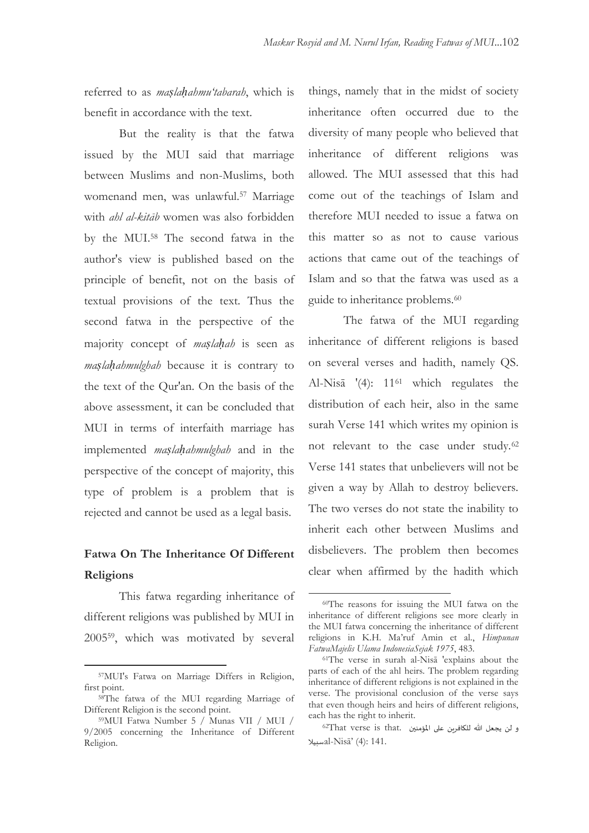referred to as *maṣlaḥahmu'tabarah*, which is benefit in accordance with the text.

But the reality is that the fatwa issued by the MUI said that marriage between Muslims and non-Muslims, both womenand men, was unlawful.<sup>57</sup> Marriage with *ahl al-kitāb* women was also forbidden by the MUI.<sup>58</sup> The second fatwa in the author's view is published based on the principle of benefit, not on the basis of textual provisions of the text. Thus the second fatwa in the perspective of the majority concept of *maṣlaḥah* is seen as *maṣlaḥahmulghah* because it is contrary to the text of the Qur'an. On the basis of the above assessment, it can be concluded that MUI in terms of interfaith marriage has implemented *maṣlaḥahmulghah* and in the perspective of the concept of majority, this type of problem is a problem that is rejected and cannot be used as a legal basis.

### **Fatwa On The Inheritance Of Different Religions**

This fatwa regarding inheritance of different religions was published by MUI in 200559, which was motivated by several

 $\overline{a}$ 

things, namely that in the midst of society inheritance often occurred due to the diversity of many people who believed that inheritance of different religions was allowed. The MUI assessed that this had come out of the teachings of Islam and therefore MUI needed to issue a fatwa on this matter so as not to cause various actions that came out of the teachings of Islam and so that the fatwa was used as a guide to inheritance problems.<sup>60</sup>

The fatwa of the MUI regarding inheritance of different religions is based on several verses and hadith, namely QS. Al-Nisā '(4): 11<sup>61</sup> which regulates the distribution of each heir, also in the same surah Verse 141 which writes my opinion is not relevant to the case under study.<sup>62</sup> Verse 141 states that unbelievers will not be given a way by Allah to destroy believers. The two verses do not state the inability to inherit each other between Muslims and disbelievers. The problem then becomes clear when affirmed by the hadith which

<sup>57</sup>MUI's Fatwa on Marriage Differs in Religion, first point.

<sup>58</sup>The fatwa of the MUI regarding Marriage of Different Religion is the second point.

<sup>59</sup>MUI Fatwa Number 5 / Munas VII / MUI / 9/2005 concerning the Inheritance of Different Religion.

<sup>60</sup>The reasons for issuing the MUI fatwa on the inheritance of different religions see more clearly in the MUI fatwa concerning the inheritance of different religions in K.H. Ma"ruf Amin et al., *Himpunan FatwaMajelis Ulama IndonesiaSejak 1975*, 483.

<sup>61</sup>The verse in surah al-Nisā 'explains about the parts of each of the ahl heirs. The problem regarding inheritance of different religions is not explained in the verse. The provisional conclusion of the verse says that even though heirs and heirs of different religions, each has the right to inherit.

 $^{62}$ That verse is that. و لن يجعل الله للكافرين على المؤمنين سبيالal-Nisā" (4): 141.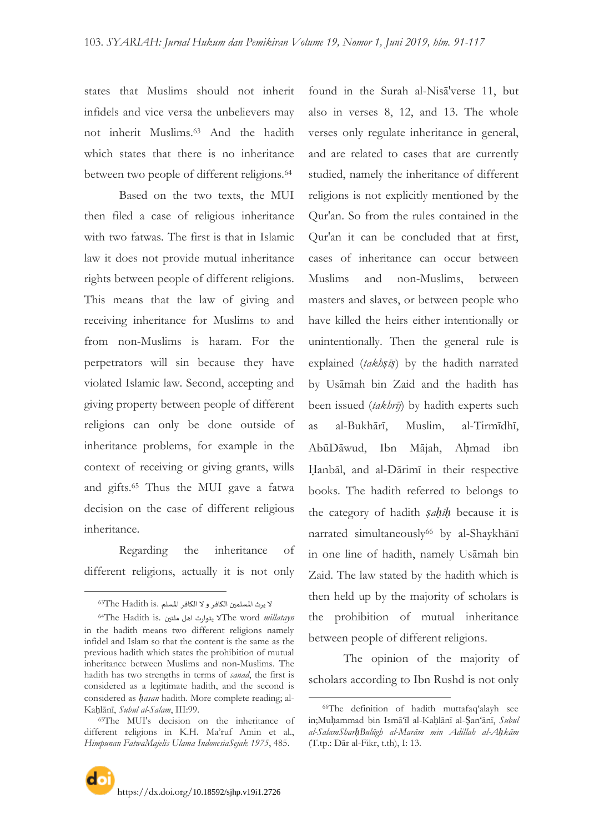states that Muslims should not inherit infidels and vice versa the unbelievers may not inherit Muslims.<sup>63</sup> And the hadith which states that there is no inheritance between two people of different religions.<sup>64</sup>

Based on the two texts, the MUI then filed a case of religious inheritance with two fatwas. The first is that in Islamic law it does not provide mutual inheritance rights between people of different religions. This means that the law of giving and receiving inheritance for Muslims to and from non-Muslims is haram. For the perpetrators will sin because they have violated Islamic law. Second, accepting and giving property between people of different religions can only be done outside of inheritance problems, for example in the context of receiving or giving grants, wills and gifts.<sup>65</sup> Thus the MUI gave a fatwa decision on the case of different religious inheritance.

Regarding the inheritance of different religions, actually it is not only

 $\overline{a}$ 

found in the Surah al-Nisā'verse 11, but also in verses 8, 12, and 13. The whole verses only regulate inheritance in general, and are related to cases that are currently studied, namely the inheritance of different religions is not explicitly mentioned by the Qur'an. So from the rules contained in the Qur'an it can be concluded that at first, cases of inheritance can occur between Muslims and non-Muslims, between masters and slaves, or between people who have killed the heirs either intentionally or unintentionally. Then the general rule is explained (*takhṣīṣ*) by the hadith narrated by Usāmah bin Zaid and the hadith has been issued (*takhrīj*) by hadith experts such as al-Bukhārī, Muslim, al-Tirmīdhī, AbūDāwud, Ibn Mājah, Aḥmad ibn Ḥanbāl, and al-Dārimī in their respective books. The hadith referred to belongs to the category of hadith *ṣaḥīḥ* because it is narrated simultaneously<sup>66</sup> by al-Shaykhānī in one line of hadith, namely Usāmah bin Zaid. The law stated by the hadith which is then held up by the majority of scholars is the prohibition of mutual inheritance between people of different religions.

The opinion of the majority of scholars according to Ibn Rushd is not only

لا يرث المسلمين الكافر و لا الكافر المسلم .<sup>63</sup>The Hadith is

<sup>64</sup>The Hadith is. ملخيو اهل خىاسر الThe word *millatayn* in the hadith means two different religions namely infidel and Islam so that the content is the same as the previous hadith which states the prohibition of mutual inheritance between Muslims and non-Muslims. The hadith has two strengths in terms of *sanad*, the first is considered as a legitimate hadith, and the second is considered as *ḥasan* hadith. More complete reading; al-Kaḥlānī, *Subul al-Salam*, III:99.

<sup>65</sup>The MUI's decision on the inheritance of different religions in K.H. Ma"ruf Amin et al., *Himpunan FatwaMajelis Ulama IndonesiaSejak 1975*, 485.

<sup>66</sup>The definition of hadith muttafaq"alayh see in;Muḥammad bin Ismā"īl al-Kaḥlānī al-Ṣan"ānī, *Subul al-SalamSharḥBulūgh al-Marām min Adillah al-Aḥkām* (T.tp.: Dār al-Fikr, t.th), I: 13.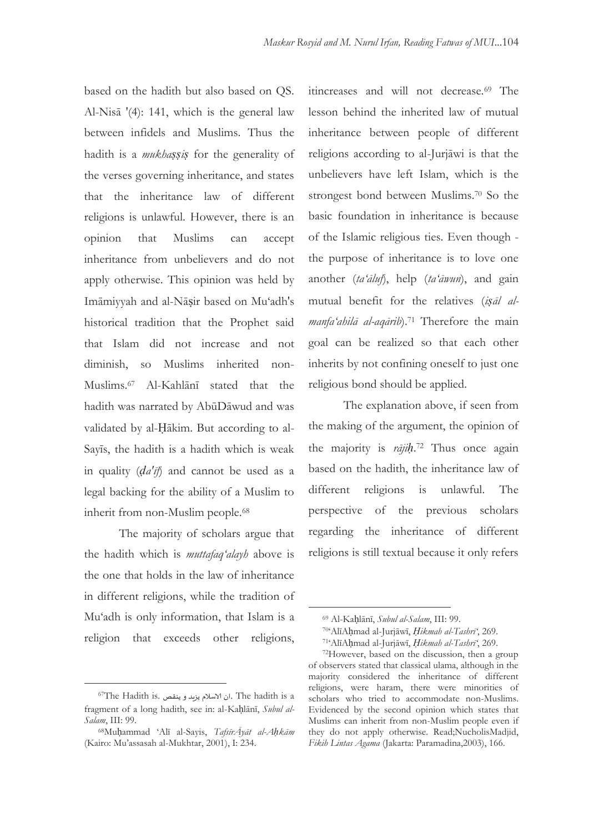based on the hadith but also based on QS. Al-Nisā '(4): 141, which is the general law between infidels and Muslims. Thus the hadith is a *mukhaṣṣiṣ* for the generality of the verses governing inheritance, and states that the inheritance law of different religions is unlawful. However, there is an opinion that Muslims can accept inheritance from unbelievers and do not apply otherwise. This opinion was held by Imāmiyyah and al-Nāṣir based on Mu"adh's historical tradition that the Prophet said that Islam did not increase and not diminish, so Muslims inherited non-Muslims.<sup>67</sup> Al-Kahlānī stated that the hadith was narrated by AbūDāwud and was validated by al-Ḥākim. But according to al-Sayīs, the hadith is a hadith which is weak in quality (*ḍa'īf*) and cannot be used as a legal backing for the ability of a Muslim to inherit from non-Muslim people.<sup>68</sup>

The majority of scholars argue that the hadith which is *muttafaq'alayh* above is the one that holds in the law of inheritance in different religions, while the tradition of Mu"adh is only information, that Islam is a religion that exceeds other religions,

 $\overline{a}$ 

itincreases and will not decrease.<sup>69</sup> The lesson behind the inherited law of mutual inheritance between people of different religions according to al-Jurjāwi is that the unbelievers have left Islam, which is the strongest bond between Muslims.<sup>70</sup> So the basic foundation in inheritance is because of the Islamic religious ties. Even though the purpose of inheritance is to love one another (*ta'āluf*), help (*ta'āwun*), and gain mutual benefit for the relatives (*iṣāl almanfa'ahilā al-aqārib*).<sup>71</sup> Therefore the main goal can be realized so that each other inherits by not confining oneself to just one religious bond should be applied.

The explanation above, if seen from the making of the argument, the opinion of the majority is *rājiḥ*. <sup>72</sup> Thus once again based on the hadith, the inheritance law of different religions is unlawful. The perspective of the previous scholars regarding the inheritance of different religions is still textual because it only refers

 $67$ The Hadith is. ان الاسلام يزيد و ينقص. The hadith is a fragment of a long hadith, see in: al-Kaḥlānī, *Subul al-Salam*, III: 99.

<sup>68</sup>Muḥammad "Alī al-Sayis, *TafsīrĀyāt al-Aḥkām* (Kairo: Mu"assasah al-Mukhtar, 2001), I: 234.

<sup>69</sup> Al-Kaḥlānī, *Subul al-Salam*, III: 99.

<sup>70</sup>"AlīAḥmad al-Jurjāwī, *Ḥikmah al-Tashrī'*, 269.

<sup>71</sup>"AlīAḥmad al-Jurjāwī, *Ḥikmah al-Tashrī'*, 269.

<sup>72</sup>However, based on the discussion, then a group of observers stated that classical ulama, although in the majority considered the inheritance of different religions, were haram, there were minorities of scholars who tried to accommodate non-Muslims. Evidenced by the second opinion which states that Muslims can inherit from non-Muslim people even if they do not apply otherwise. Read;NucholisMadjid, *Fikih Lintas Agama* (Jakarta: Paramadina,2003), 166.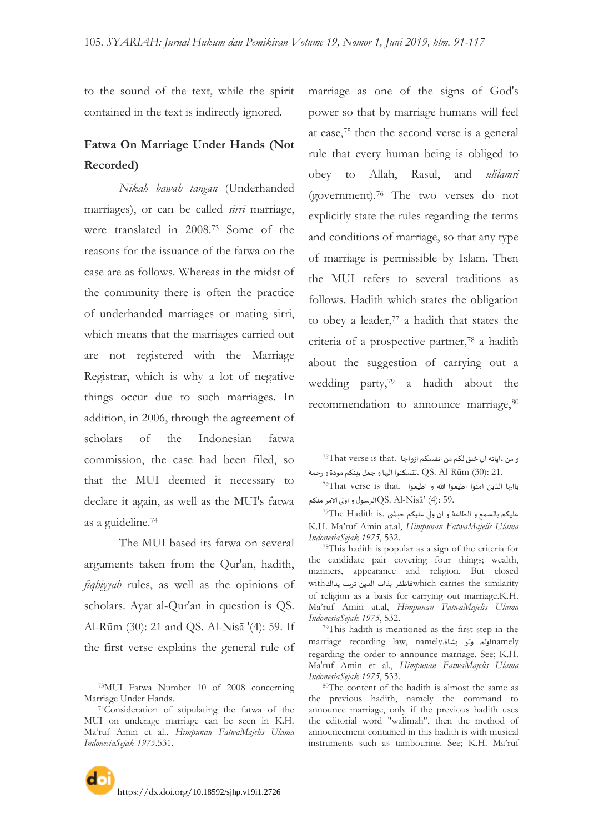$\overline{a}$ 

to the sound of the text, while the spirit contained in the text is indirectly ignored.

## **Fatwa On Marriage Under Hands (Not Recorded)**

*Nikah bawah tangan* (Underhanded marriages), or can be called *sirri* marriage, were translated in 2008.<sup>73</sup> Some of the reasons for the issuance of the fatwa on the case are as follows. Whereas in the midst of the community there is often the practice of underhanded marriages or mating sirri, which means that the marriages carried out are not registered with the Marriage Registrar, which is why a lot of negative things occur due to such marriages. In addition, in 2006, through the agreement of scholars of the Indonesian fatwa commission, the case had been filed, so that the MUI deemed it necessary to declare it again, as well as the MUI's fatwa as a guideline.<sup>74</sup>

The MUI based its fatwa on several arguments taken from the Qur'an, hadith, *fiqhiyyah* rules, as well as the opinions of scholars. Ayat al-Qur'an in question is QS. Al-Rūm (30): 21 and QS. Al-Nisā '(4): 59. If the first verse explains the general rule of

-

marriage as one of the signs of God's power so that by marriage humans will feel at ease,<sup>75</sup> then the second verse is a general rule that every human being is obliged to obey to Allah, Rasul, and *ulilamri* (government).<sup>76</sup> The two verses do not explicitly state the rules regarding the terms and conditions of marriage, so that any type of marriage is permissible by Islam. Then the MUI refers to several traditions as follows. Hadith which states the obligation to obey a leader,<sup>77</sup> a hadith that states the criteria of a prospective partner,<sup>78</sup> a hadith about the suggestion of carrying out a wedding party,<sup>79</sup> a hadith about the recommendation to announce marriage, 80

<sup>73</sup>MUI Fatwa Number 10 of 2008 concerning Marriage Under Hands.

<sup>74</sup>Consideration of stipulating the fatwa of the MUI on underage marriage can be seen in K.H. Ma"ruf Amin et al., *Himpunan FatwaMajelis Ulama IndonesiaSejak 1975*,531.

و من ءاياته ان خلق لكم من انفسكم ازواجا .That verse is that .QS. Al-Rūm (30): 21. لتسكنوا اليهاو جعل بينكم مودة و رحمة

ياايها الذين امنوا اطيعوا الله و اطيعوا .76That verse is that الرسول واولى الامر منكم $Q$ S. Al- $N$ isā' (4): 59.

<sup>&</sup>lt;sup>77</sup>The Hadith is. عليكم بالسمع و الطاعة و ان ولّي عليكم جبشي .<br>\* K.H. Ma"ruf Amin at.al, *Himpunan FatwaMajelis Ulama IndonesiaSejak 1975*, 532.

<sup>78</sup>This hadith is popular as a sign of the criteria for the candidate pair covering four things; wealth, manners, appearance and religion. But closed which carries the similarity فاظفر بذات الدين تربت يداكwith of religion as a basis for carrying out marriage.K.H. Ma"ruf Amin at.al, *Himpunan FatwaMajelis Ulama IndonesiaSejak 1975*, 532.

<sup>79</sup>This hadith is mentioned as the first step in the marriage recording law, namely.بشاة marriage recording law, regarding the order to announce marriage. See; K.H. Ma'ruf Amin et al., *Himpunan FatwaMajelis Ulama IndonesiaSejak 1975*, 533.

<sup>80</sup>The content of the hadith is almost the same as the previous hadith, namely the command to announce marriage, only if the previous hadith uses the editorial word "walimah", then the method of announcement contained in this hadith is with musical instruments such as tambourine. See; K.H. Ma'ruf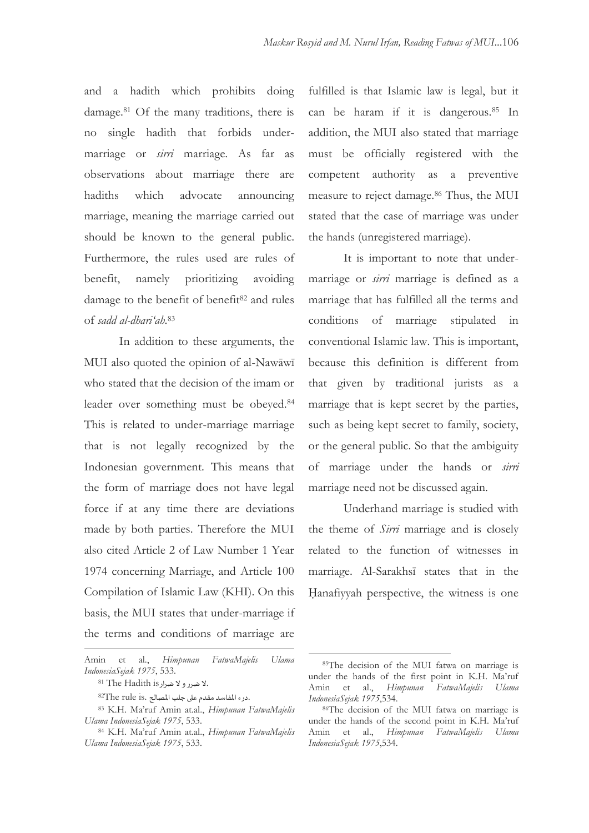and a hadith which prohibits doing damage.<sup>81</sup> Of the many traditions, there is no single hadith that forbids undermarriage or *sirri* marriage. As far as observations about marriage there are hadiths which advocate announcing marriage, meaning the marriage carried out should be known to the general public. Furthermore, the rules used are rules of benefit, namely prioritizing avoiding damage to the benefit of benefit<sup>82</sup> and rules of *sadd al-dhari'ah*. 83

In addition to these arguments, the MUI also quoted the opinion of al-Nawāwī who stated that the decision of the imam or leader over something must be obeyed.<sup>84</sup> This is related to under-marriage marriage that is not legally recognized by the Indonesian government. This means that the form of marriage does not have legal force if at any time there are deviations made by both parties. Therefore the MUI also cited Article 2 of Law Number 1 Year 1974 concerning Marriage, and Article 100 Compilation of Islamic Law (KHI). On this basis, the MUI states that under-marriage if the terms and conditions of marriage are

 $\overline{a}$ 

fulfilled is that Islamic law is legal, but it can be haram if it is dangerous.<sup>85</sup> In addition, the MUI also stated that marriage must be officially registered with the competent authority as a preventive measure to reject damage.<sup>86</sup> Thus, the MUI stated that the case of marriage was under the hands (unregistered marriage).

It is important to note that undermarriage or *sirri* marriage is defined as a marriage that has fulfilled all the terms and conditions of marriage stipulated in conventional Islamic law. This is important, because this definition is different from that given by traditional jurists as a marriage that is kept secret by the parties, such as being kept secret to family, society, or the general public. So that the ambiguity of marriage under the hands or *sirri* marriage need not be discussed again.

Underhand marriage is studied with the theme of *Sirri* marriage and is closely related to the function of witnesses in marriage. Al-Sarakhsī states that in the Ḥanafiyyah perspective, the witness is one

Amin et al., *Himpunan FatwaMajelis Ulama IndonesiaSejak 1975*, 533.

<sup>81</sup> Y. الا ضرر و لا ضرار 15 s<sup>81</sup> The Hadith is

 ${}^{82}$ The rule is. درء المفاسد مقدم على جلب المصالح.

<sup>83</sup> K.H. Ma"ruf Amin at.al., *Himpunan FatwaMajelis Ulama IndonesiaSejak 1975*, 533.

<sup>84</sup> K.H. Ma"ruf Amin at.al., *Himpunan FatwaMajelis Ulama IndonesiaSejak 1975*, 533.

<sup>85</sup>The decision of the MUI fatwa on marriage is under the hands of the first point in K.H. Ma"ruf Amin et al., *Himpunan FatwaMajelis Ulama IndonesiaSejak 1975*,534.

<sup>86</sup>The decision of the MUI fatwa on marriage is under the hands of the second point in K.H. Ma"ruf Amin et al., *Himpunan FatwaMajelis Ulama IndonesiaSejak 1975*,534.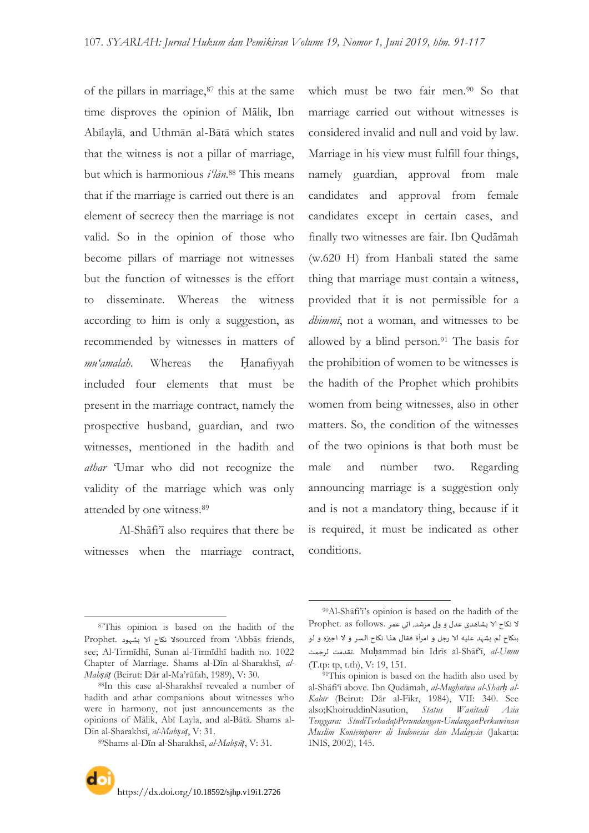of the pillars in marriage, $87$  this at the same time disproves the opinion of Mālik, Ibn Abīlaylā, and Uthmān al-Bātā which states that the witness is not a pillar of marriage, but which is harmonious *i'lān*. <sup>88</sup> This means that if the marriage is carried out there is an element of secrecy then the marriage is not valid. So in the opinion of those who become pillars of marriage not witnesses but the function of witnesses is the effort to disseminate. Whereas the witness according to him is only a suggestion, as recommended by witnesses in matters of *mu'amalah*. Whereas the Ḥanafiyyah included four elements that must be present in the marriage contract, namely the prospective husband, guardian, and two witnesses, mentioned in the hadith and *athar* "Umar who did not recognize the validity of the marriage which was only attended by one witness.<sup>89</sup>

Al-Shāfi"ī also requires that there be witnesses when the marriage contract, which must be two fair men.<sup>90</sup> So that marriage carried out without witnesses is considered invalid and null and void by law. Marriage in his view must fulfill four things, namely guardian, approval from male candidates and approval from female candidates except in certain cases, and finally two witnesses are fair. Ibn Qudāmah (w.620 H) from Hanbali stated the same thing that marriage must contain a witness, provided that it is not permissible for a *dhimmī*, not a woman, and witnesses to be allowed by a blind person.<sup>91</sup> The basis for the prohibition of women to be witnesses is the hadith of the Prophet which prohibits women from being witnesses, also in other matters. So, the condition of the witnesses of the two opinions is that both must be male and number two. Regarding announcing marriage is a suggestion only and is not a mandatory thing, because if it is required, it must be indicated as other conditions.

 $\overline{a}$ 

<sup>87</sup>This opinion is based on the hadith of the Prophet. نكاح الا بشهود Sourced from 'Abbās friends, see; Al-Tirmīdhī, Sunan al-Tirmīdhī hadith no. 1022 Chapter of Marriage. Shams al-Dīn al-Sharakhsī, *al-Mabṣūṭ* (Beirut: Dār al-Ma"rūfah, 1989), V: 30.

<sup>88</sup>In this case al-Sharakhsī revealed a number of hadith and athar companions about witnesses who were in harmony, not just announcements as the opinions of Mālik, Abī Layla, and al-Bātā. Shams al-Dīn al-Sharakhsī, *al-Mabṣūṭ*, V: 31.

<sup>89</sup>Shams al-Dīn al-Sharakhsī, *al-Mabṣūṭ*, V: 31.

<sup>90</sup>Al-Shāfi"ī"s opinion is based on the hadith of the ال نهاح الا بشاهذي عذى و ولى مششذ, احى عمش .follows as .Prophet بنكاح لم يشهد عليه الا رجل و امرأة فقال هذا نكاح السر و لا اجيزه و لو لشجمذ جقذمذ. Muḥammad bin Idrīs al-Shāf"ī, *al-Umm* (T.tp: tp, t.th), V: 19, 151.

<sup>&</sup>lt;sup>91</sup>This opinion is based on the hadith also used by al-Shāfi"ī above. Ibn Qudāmah, *al-Mughnīwa al-Sharḥ al-Kabīr* (Beirut: Dār al-Fikr, 1984), VII: 340. See also;KhoiruddinNasution, *Status Wanitadi Asia Tenggara: StudiTerhadapPerundangan-UndanganPerkawinan Muslim Kontemporer di Indonesia dan Malaysia* (Jakarta: INIS, 2002), 145.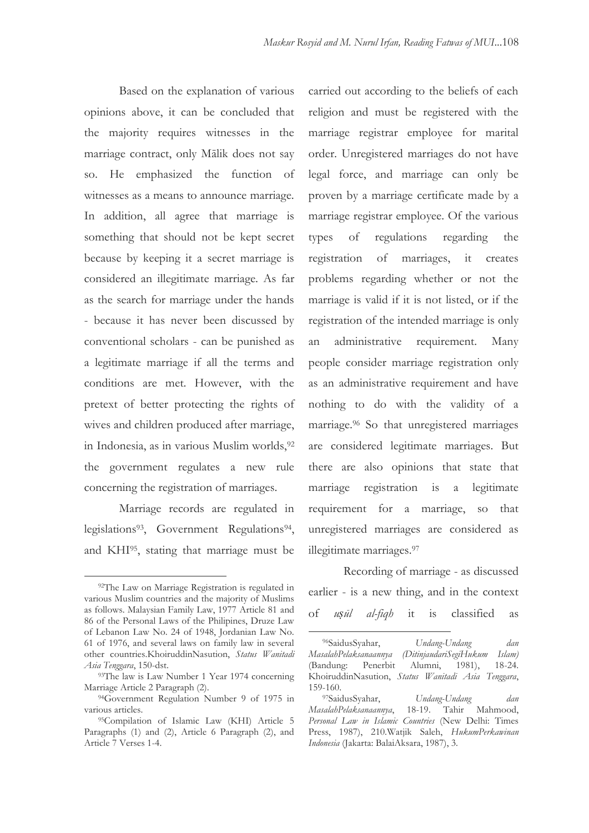Based on the explanation of various opinions above, it can be concluded that the majority requires witnesses in the marriage contract, only Mālik does not say so. He emphasized the function of witnesses as a means to announce marriage. In addition, all agree that marriage is something that should not be kept secret because by keeping it a secret marriage is considered an illegitimate marriage. As far as the search for marriage under the hands - because it has never been discussed by conventional scholars - can be punished as a legitimate marriage if all the terms and conditions are met. However, with the pretext of better protecting the rights of wives and children produced after marriage, in Indonesia, as in various Muslim worlds, 92 the government regulates a new rule concerning the registration of marriages.

Marriage records are regulated in legislations<sup>93</sup>, Government Regulations<sup>94</sup>, and KHI95, stating that marriage must be

 $\overline{a}$ 

carried out according to the beliefs of each religion and must be registered with the marriage registrar employee for marital order. Unregistered marriages do not have legal force, and marriage can only be proven by a marriage certificate made by a marriage registrar employee. Of the various types of regulations regarding the registration of marriages, it creates problems regarding whether or not the marriage is valid if it is not listed, or if the registration of the intended marriage is only an administrative requirement. Many people consider marriage registration only as an administrative requirement and have nothing to do with the validity of a marriage.<sup>96</sup> So that unregistered marriages are considered legitimate marriages. But there are also opinions that state that marriage registration is a legitimate requirement for a marriage, so that unregistered marriages are considered as illegitimate marriages.<sup>97</sup>

Recording of marriage - as discussed earlier - is a new thing, and in the context of *uṣūl al-fiqh* it is classified as

-

<sup>92</sup>The Law on Marriage Registration is regulated in various Muslim countries and the majority of Muslims as follows. Malaysian Family Law, 1977 Article 81 and 86 of the Personal Laws of the Philipines, Druze Law of Lebanon Law No. 24 of 1948, Jordanian Law No. 61 of 1976, and several laws on family law in several other countries.KhoiruddinNasution, *Status Wanitadi Asia Tenggara*, 150-dst.

<sup>&</sup>lt;sup>93</sup>The law is Law Number 1 Year 1974 concerning Marriage Article 2 Paragraph (2).

<sup>&</sup>lt;sup>94</sup>Government Regulation Number 9 of 1975 in various articles.

<sup>95</sup>Compilation of Islamic Law (KHI) Article 5 Paragraphs (1) and (2), Article 6 Paragraph (2), and Article 7 Verses 1-4.

<sup>96</sup>SaidusSyahar, *Undang-Undang dan MasalahPelaksanaannya (DitinjaudariSegiHukum Islam)* (Bandung: Penerbit Alumni, 1981), 18-24. KhoiruddinNasution, *Status Wanitadi Asia Tenggara*, 159-160.<br><sup>97</sup>SaidusSyahar,

<sup>97</sup>SaidusSyahar, *Undang-Undang dan*   $MasalahPelak sanaannya,$ *Personal Law in Islamic Countries* (New Delhi: Times Press, 1987), 210.Watjik Saleh, *HukumPerkawinan Indonesia* (Jakarta: BalaiAksara, 1987), 3.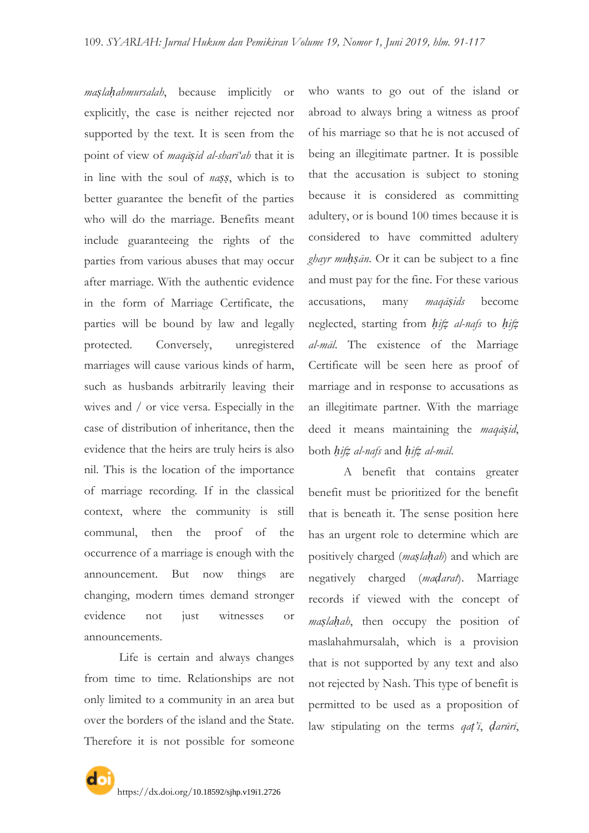*maṣlaḥahmursalah*, because implicitly or explicitly, the case is neither rejected nor supported by the text. It is seen from the point of view of *maqāṣid al-sharī'ah* that it is in line with the soul of *naṣṣ*, which is to better guarantee the benefit of the parties who will do the marriage. Benefits meant include guaranteeing the rights of the parties from various abuses that may occur after marriage. With the authentic evidence in the form of Marriage Certificate, the parties will be bound by law and legally protected. Conversely, unregistered marriages will cause various kinds of harm, such as husbands arbitrarily leaving their wives and / or vice versa. Especially in the case of distribution of inheritance, then the evidence that the heirs are truly heirs is also nil. This is the location of the importance of marriage recording. If in the classical context, where the community is still communal, then the proof of the occurrence of a marriage is enough with the announcement. But now things are changing, modern times demand stronger evidence not just witnesses or announcements.

Life is certain and always changes from time to time. Relationships are not only limited to a community in an area but over the borders of the island and the State. Therefore it is not possible for someone

who wants to go out of the island or abroad to always bring a witness as proof of his marriage so that he is not accused of being an illegitimate partner. It is possible that the accusation is subject to stoning because it is considered as committing adultery, or is bound 100 times because it is considered to have committed adultery *ghayr muḥṣān*. Or it can be subject to a fine and must pay for the fine. For these various accusations, many *maqāṣids* become neglected, starting from *ḥifẓ al-nafs* to *ḥifẓ al-māl*. The existence of the Marriage Certificate will be seen here as proof of marriage and in response to accusations as an illegitimate partner. With the marriage deed it means maintaining the *maqāṣid*, both *ḥifẓ al-nafs* and *ḥifẓ al-māl*.

A benefit that contains greater benefit must be prioritized for the benefit that is beneath it. The sense position here has an urgent role to determine which are positively charged (*maṣlaḥah*) and which are negatively charged (*maḍarat*). Marriage records if viewed with the concept of *maslahah*, then occupy the position of maslahahmursalah, which is a provision that is not supported by any text and also not rejected by Nash. This type of benefit is permitted to be used as a proposition of law stipulating on the terms *qaṭ'ī*, *ḍarūrī*,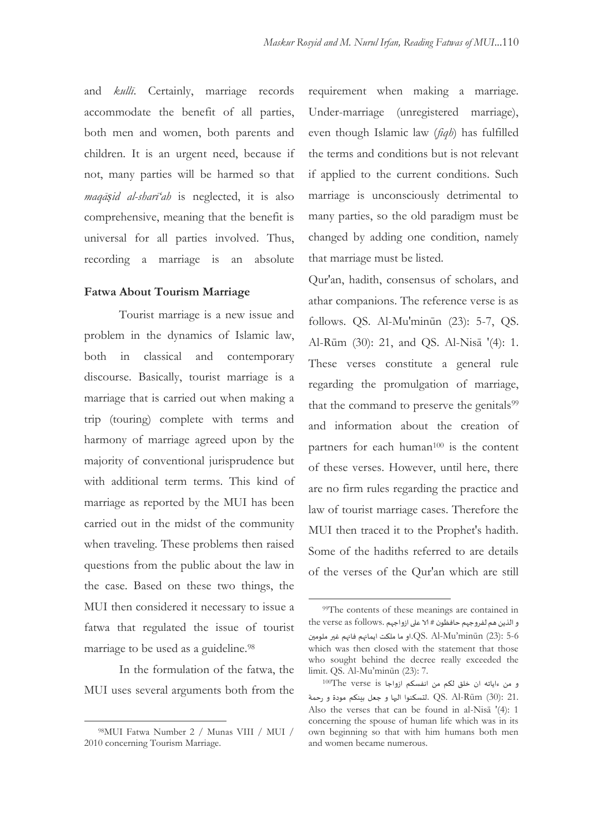and *kullī*. Certainly, marriage records accommodate the benefit of all parties, both men and women, both parents and children. It is an urgent need, because if not, many parties will be harmed so that *maqāṣid al-sharī'ah* is neglected, it is also comprehensive, meaning that the benefit is universal for all parties involved. Thus, recording a marriage is an absolute

#### **Fatwa About Tourism Marriage**

Tourist marriage is a new issue and problem in the dynamics of Islamic law, both in classical and contemporary discourse. Basically, tourist marriage is a marriage that is carried out when making a trip (touring) complete with terms and harmony of marriage agreed upon by the majority of conventional jurisprudence but with additional term terms. This kind of marriage as reported by the MUI has been carried out in the midst of the community when traveling. These problems then raised questions from the public about the law in the case. Based on these two things, the MUI then considered it necessary to issue a fatwa that regulated the issue of tourist marriage to be used as a guideline.<sup>98</sup>

In the formulation of the fatwa, the MUI uses several arguments both from the

-

requirement when making a marriage. Under-marriage (unregistered marriage), even though Islamic law (*fiqh*) has fulfilled the terms and conditions but is not relevant if applied to the current conditions. Such marriage is unconsciously detrimental to many parties, so the old paradigm must be changed by adding one condition, namely that marriage must be listed.

Qur'an, hadith, consensus of scholars, and athar companions. The reference verse is as follows. QS. Al-Mu'minūn (23): 5-7, QS. Al-Rūm (30): 21, and QS. Al-Nisā '(4): 1. These verses constitute a general rule regarding the promulgation of marriage, that the command to preserve the genitals<sup>99</sup> and information about the creation of partners for each human<sup>100</sup> is the content of these verses. However, until here, there are no firm rules regarding the practice and law of tourist marriage cases. Therefore the MUI then traced it to the Prophet's hadith. Some of the hadiths referred to are details of the verses of the Qur'an which are still

<sup>98</sup>MUI Fatwa Number 2 / Munas VIII / MUI / 2010 concerning Tourism Marriage.

<sup>&</sup>lt;sup>99</sup>The contents of these meanings are contained in والذين هم لفروجهم حافظون # الا على ازواجهم .the verse as follows 5-6 :(23) minūn"Mu-Al .QS.او ما ملنذ ا مانهم فانهم غير ملىميو which was then closed with the statement that those who sought behind the decree really exceeded the limit. QS. Al-Mu"minūn (23): 7.

 $^{100}$ The verse is او اوواجا ان خلق لكم من انفسكم ازواجا 21. :(30) Rūm-Al .QS .لدسننىا اليها و جعل بيننم مىدة و سحمت Also the verses that can be found in al-Nisā '(4): 1 concerning the spouse of human life which was in its own beginning so that with him humans both men and women became numerous.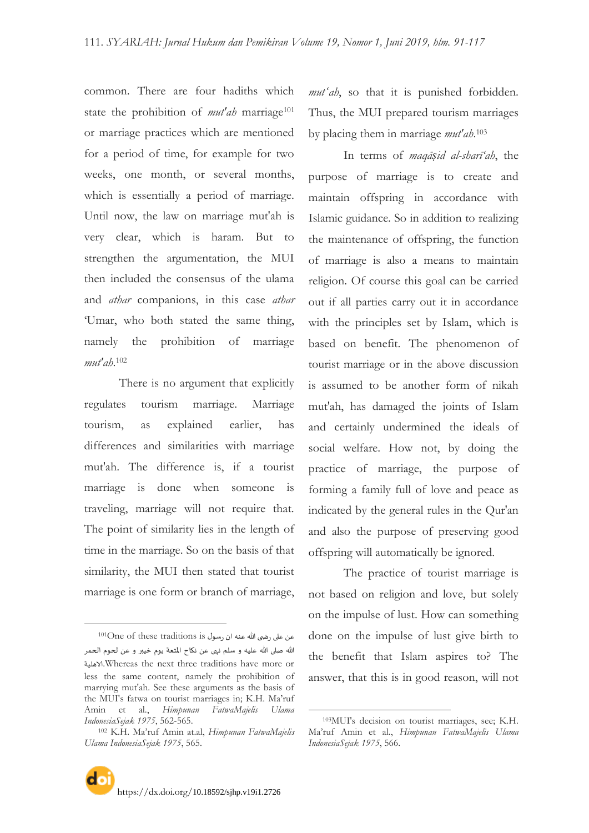common. There are four hadiths which state the prohibition of *mut'ah* marriage<sup>101</sup> or marriage practices which are mentioned for a period of time, for example for two weeks, one month, or several months, which is essentially a period of marriage. Until now, the law on marriage mut'ah is very clear, which is haram. But to strengthen the argumentation, the MUI then included the consensus of the ulama and *athar* companions, in this case *athar* "Umar, who both stated the same thing, namely the prohibition of marriage *mut'ah*. 102

There is no argument that explicitly regulates tourism marriage. Marriage tourism, as explained earlier, has differences and similarities with marriage mut'ah. The difference is, if a tourist marriage is done when someone is traveling, marriage will not require that. The point of similarity lies in the length of time in the marriage. So on the basis of that similarity, the MUI then stated that tourist marriage is one form or branch of marriage,

 $\overline{a}$ 

*mutʻah*, so that it is punished forbidden. Thus, the MUI prepared tourism marriages by placing them in marriage *mut'ah*. 103

In terms of *maqāṣid al-sharī'ah*, the purpose of marriage is to create and maintain offspring in accordance with Islamic guidance. So in addition to realizing the maintenance of offspring, the function of marriage is also a means to maintain religion. Of course this goal can be carried out if all parties carry out it in accordance with the principles set by Islam, which is based on benefit. The phenomenon of tourist marriage or in the above discussion is assumed to be another form of nikah mut'ah, has damaged the joints of Islam and certainly undermined the ideals of social welfare. How not, by doing the practice of marriage, the purpose of forming a family full of love and peace as indicated by the general rules in the Qur'an and also the purpose of preserving good offspring will automatically be ignored.

The practice of tourist marriage is not based on religion and love, but solely on the impulse of lust. How can something done on the impulse of lust give birth to the benefit that Islam aspires to? The answer, that this is in good reason, will not

عن على رضى الله عنه ان رسول <sup>101</sup>One of these traditions is الله صلى الله عليه و سلم نهى عن نكاح المتعة يوم خيبر و عن لحوم الحمر الاهليت.Whereas the next three traditions have more or less the same content, namely the prohibition of marrying mut'ah. See these arguments as the basis of the MUI's fatwa on tourist marriages in; K.H. Ma'ruf Amin et al., *Himpunan FatwaMajelis Ulama IndonesiaSejak 1975*, 562-565.

<sup>102</sup> K.H. Ma"ruf Amin at.al, *Himpunan FatwaMajelis Ulama IndonesiaSejak 1975*, 565.

<sup>103</sup>MUI's decision on tourist marriages, see; K.H. Ma"ruf Amin et al., *Himpunan FatwaMajelis Ulama IndonesiaSejak 1975*, 566.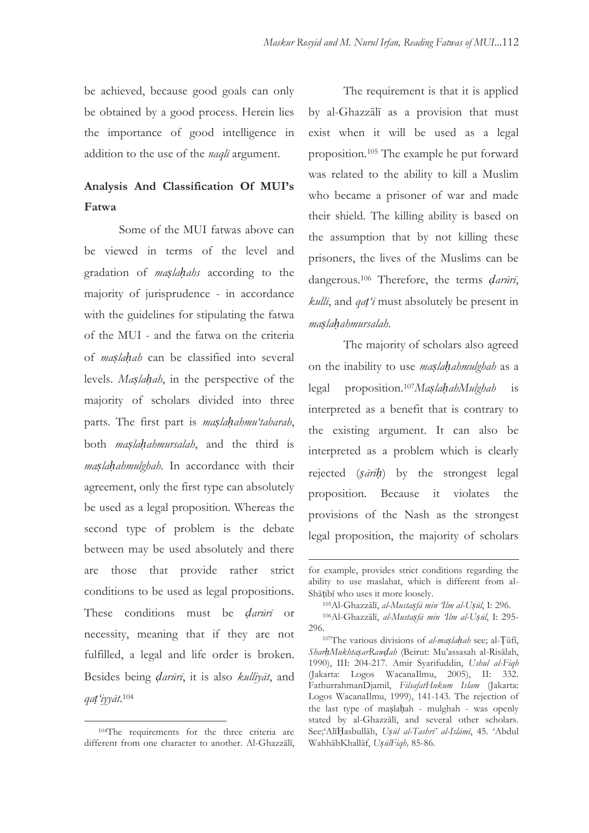be achieved, because good goals can only be obtained by a good process. Herein lies the importance of good intelligence in addition to the use of the *naqlī* argument.

### **Analysis And Classification Of MUI's Fatwa**

Some of the MUI fatwas above can be viewed in terms of the level and gradation of *maṣlaḥahs* according to the majority of jurisprudence - in accordance with the guidelines for stipulating the fatwa of the MUI - and the fatwa on the criteria of *maṣlaḥah* can be classified into several levels. *Maṣlaḥah*, in the perspective of the majority of scholars divided into three parts. The first part is *maṣlaḥahmu'tabarah*, both *maṣlaḥahmursalah*, and the third is *maṣlaḥahmulghah*. In accordance with their agreement, only the first type can absolutely be used as a legal proposition. Whereas the second type of problem is the debate between may be used absolutely and there are those that provide rather strict conditions to be used as legal propositions. These conditions must be *ḍarūrī* or necessity, meaning that if they are not fulfilled, a legal and life order is broken. Besides being *ḍarūrī*, it is also *kulliyāt*, and *qaṭ'iyyāt*. 104

-

The requirement is that it is applied by al-Ghazzālī as a provision that must exist when it will be used as a legal proposition.<sup>105</sup> The example he put forward was related to the ability to kill a Muslim who became a prisoner of war and made their shield. The killing ability is based on the assumption that by not killing these prisoners, the lives of the Muslims can be dangerous.<sup>106</sup> Therefore, the terms *ḍarūrī*, *kullī*, and *qaṭ'ī* must absolutely be present in *maṣlaḥahmursalah*.

The majority of scholars also agreed on the inability to use *maṣlaḥahmulghah* as a legal proposition.107*MaṣlaḥahMulghah* is interpreted as a benefit that is contrary to the existing argument. It can also be interpreted as a problem which is clearly rejected (*ṣāriḥ*) by the strongest legal proposition. Because it violates the provisions of the Nash as the strongest legal proposition, the majority of scholars

<sup>104</sup>The requirements for the three criteria are different from one character to another. Al-Ghazzālī,

for example, provides strict conditions regarding the ability to use maslahat, which is different from al-Shāṭibī who uses it more loosely.

<sup>105</sup>Al-Ghazzālī, *al-Mustaṣfā min 'Ilm al-Uṣūl*, I: 296.

<sup>106</sup>Al-Ghazzālī, *al-Mustaṣfā min 'Ilm al-Uṣūl*, I: 295- 296.

<sup>107</sup>The various divisions of *al-maṣlaḥah* see; al-Ṭūfī, *SharḥMukhtaṣarRawḍah* (Beirut: Mu"assasah al-Risālah, 1990), III: 204-217. Amir Syarifuddin, *Ushul al-Fiqh* (Jakarta: Logos WacanaIlmu, 2005), II: 332. FathurrahmanDjamil, *FilsafatHukum Islam* (Jakarta: Logos WacanaIlmu, 1999), 141-143. The rejection of the last type of maṣlaḥah - mulghah - was openly stated by al-Ghazzālī, and several other scholars. See;"AlīḤasbullāh, *Uṣūl al-Tashrī' al-Islāmī*, 45. "Abdul WahhābKhallāf, *UṣūlFiqh,* 85-86.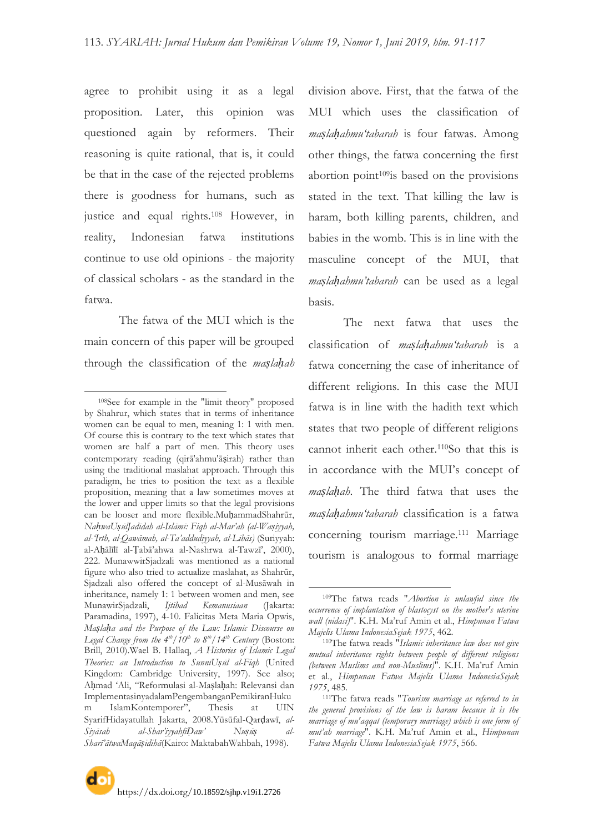agree to prohibit using it as a legal proposition. Later, this opinion was questioned again by reformers. Their reasoning is quite rational, that is, it could be that in the case of the rejected problems there is goodness for humans, such as justice and equal rights.<sup>108</sup> However, in reality, Indonesian fatwa institutions continue to use old opinions - the majority of classical scholars - as the standard in the fatwa.

The fatwa of the MUI which is the main concern of this paper will be grouped through the classification of the *maṣlaḥah*

-

division above. First, that the fatwa of the MUI which uses the classification of *maṣlaḥahmu'tabarah* is four fatwas. Among other things, the fatwa concerning the first abortion point $109$ is based on the provisions stated in the text. That killing the law is haram, both killing parents, children, and babies in the womb. This is in line with the masculine concept of the MUI, that *maṣlaḥahmu'tabarah* can be used as a legal basis.

The next fatwa that uses the classification of *maṣlaḥahmu'tabarah* is a fatwa concerning the case of inheritance of different religions. In this case the MUI fatwa is in line with the hadith text which states that two people of different religions cannot inherit each other.110So that this is in accordance with the MUI"s concept of *maṣlaḥah*. The third fatwa that uses the *maṣlaḥahmu'tabarah* classification is a fatwa concerning tourism marriage.<sup>111</sup> Marriage tourism is analogous to formal marriage

<sup>108</sup>See for example in the "limit theory" proposed by Shahrur, which states that in terms of inheritance women can be equal to men, meaning 1: 1 with men. Of course this is contrary to the text which states that women are half a part of men. This theory uses contemporary reading (qirā'ahmu'āṣirah) rather than using the traditional maslahat approach. Through this paradigm, he tries to position the text as a flexible proposition, meaning that a law sometimes moves at the lower and upper limits so that the legal provisions can be looser and more flexible.MuḥammadShahrūr, *NaḥwaUṣūlJadīdah al-Islāmī: Fiqh al-Mar'ah (al-Waṣiyyah, al-'Irth, al-Qawāmah, al-Ta'addudiyyah, al-Libās)* (Suriyyah: al-Aḥālīlī al-Ṭabā"ahwa al-Nashrwa al-Tawzī", 2000), 222. MunawwirSjadzali was mentioned as a national figure who also tried to actualize maslahat, as Shahrūr, Sjadzali also offered the concept of al-Musāwah in inheritance, namely 1: 1 between women and men, see MunawirSjadzali, *Ijtihad Kemanusiaan* (Jakarta: Paramadina, 1997), 4-10. Falicitas Meta Maria Opwis, *Maṣlaḥa and the Purpose of the Law: Islamic Discourse on Legal Change from the*  $4^{th}/10^{th}$  *to*  $8^{th}/14^{th}$  *Century (Boston:* Brill, 2010).Wael B. Hallaq, *A Histories of Islamic Legal Theories: an Introduction to SunnīUṣūl al-Fiqh* (United Kingdom: Cambridge University, 1997). See also; Aḥmad "Ali, "Reformulasi al-Maṣlaḥah: Relevansi dan ImplementasinyadalamPengembanganPemikiranHuku m IslamKontemporer", Thesis at UIN SyarifHidayatullah Jakarta, 2008.Yūsūfal-Qarḍawī, *al-Siyāsah al-Shar'iyyahfīḌaw' Nuṣūṣ al-Sharī'ātwaMaqāṣidihā*(Kairo: MaktabahWahbah, 1998).

<sup>109</sup>The fatwa reads "*Abortion is unlawful since the occurrence of implantation of blastocyst on the mother's uterine wall (nidasi)*". K.H. Ma"ruf Amin et al., *Himpunan Fatwa Majelis Ulama IndonesiaSejak 1975*, 462.

<sup>110</sup>The fatwa reads "*Islamic inheritance law does not give mutual inheritance rights between people of different religions (between Muslims and non-Muslims)*". K.H. Ma"ruf Amin et al., *Himpunan Fatwa Majelis Ulama IndonesiaSejak 1975*, 485.

<sup>111</sup>The fatwa reads "*Tourism marriage as referred to in the general provisions of the law is haram because it is the marriage of mu'aqqat (temporary marriage) which is one form of mut'ah marriage*". K.H. Ma"ruf Amin et al., *Himpunan Fatwa Majelis Ulama IndonesiaSejak 1975*, 566.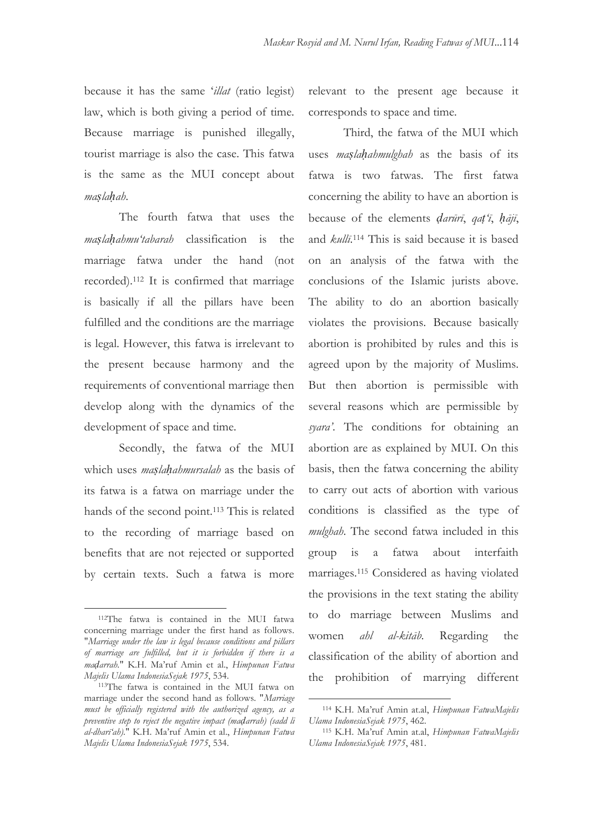because it has the same "*illat* (ratio legist) law, which is both giving a period of time. Because marriage is punished illegally, tourist marriage is also the case. This fatwa is the same as the MUI concept about *maṣlaḥah*.

The fourth fatwa that uses the *maṣlaḥahmu'tabarah* classification is the marriage fatwa under the hand (not recorded).<sup>112</sup> It is confirmed that marriage is basically if all the pillars have been fulfilled and the conditions are the marriage is legal. However, this fatwa is irrelevant to the present because harmony and the requirements of conventional marriage then develop along with the dynamics of the development of space and time.

Secondly, the fatwa of the MUI which uses *maṣlaḥahmursalah* as the basis of its fatwa is a fatwa on marriage under the hands of the second point.<sup>113</sup> This is related to the recording of marriage based on benefits that are not rejected or supported by certain texts. Such a fatwa is more

 $\overline{a}$ 

relevant to the present age because it corresponds to space and time.

Third, the fatwa of the MUI which uses *maṣlaḥahmulghah* as the basis of its fatwa is two fatwas. The first fatwa concerning the ability to have an abortion is because of the elements *ḍarūrī*, *qaṭ'ī*, *ḥājī*, and *kullī*. <sup>114</sup> This is said because it is based on an analysis of the fatwa with the conclusions of the Islamic jurists above. The ability to do an abortion basically violates the provisions. Because basically abortion is prohibited by rules and this is agreed upon by the majority of Muslims. But then abortion is permissible with several reasons which are permissible by *syara'*. The conditions for obtaining an abortion are as explained by MUI. On this basis, then the fatwa concerning the ability to carry out acts of abortion with various conditions is classified as the type of *mulghah*. The second fatwa included in this group is a fatwa about interfaith marriages.<sup>115</sup> Considered as having violated the provisions in the text stating the ability to do marriage between Muslims and women *ahl al-kitāb*. Regarding the classification of the ability of abortion and the prohibition of marrying different

-

<sup>112</sup>The fatwa is contained in the MUI fatwa concerning marriage under the first hand as follows. "*Marriage under the law is legal because conditions and pillars of marriage are fulfilled, but it is forbidden if there is a maḍarrah.*" K.H. Ma"ruf Amin et al., *Himpunan Fatwa Majelis Ulama IndonesiaSejak 1975*, 534.

<sup>113</sup>The fatwa is contained in the MUI fatwa on marriage under the second hand as follows. "*Marriage must be officially registered with the authorized agency, as a preventive step to reject the negative impact (maḍarrah) (sadd li al-dharī'ah).*" K.H. Ma"ruf Amin et al., *Himpunan Fatwa Majelis Ulama IndonesiaSejak 1975*, 534.

<sup>114</sup> K.H. Ma"ruf Amin at.al, *Himpunan FatwaMajelis Ulama IndonesiaSejak 1975*, 462.

<sup>115</sup> K.H. Ma"ruf Amin at.al, *Himpunan FatwaMajelis Ulama IndonesiaSejak 1975*, 481.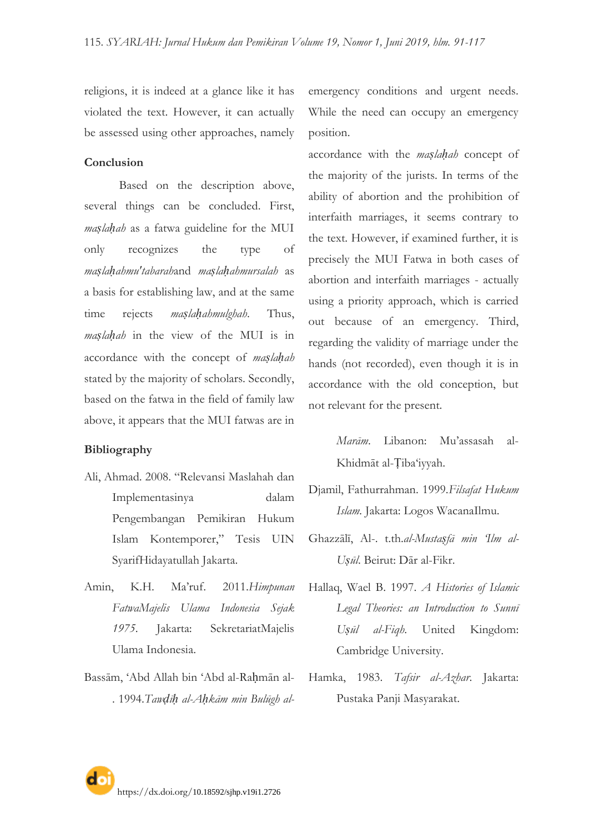religions, it is indeed at a glance like it has violated the text. However, it can actually be assessed using other approaches, namely

**Conclusion**

Based on the description above, several things can be concluded. First, *maṣlaḥah* as a fatwa guideline for the MUI only recognizes the type of *maṣlaḥahmu'tabarah*and *maṣlaḥahmursalah* as a basis for establishing law, and at the same time rejects *maṣlaḥahmulghah*. Thus, *maṣlaḥah* in the view of the MUI is in accordance with the concept of *maṣlaḥah* stated by the majority of scholars. Secondly, based on the fatwa in the field of family law above, it appears that the MUI fatwas are in

#### **Bibliography**

- Ali, Ahmad. 2008. "Relevansi Maslahah dan Implementasinya dalam Pengembangan Pemikiran Hukum Islam Kontemporer," Tesis UIN SyarifHidayatullah Jakarta.
- Amin, K.H. Ma"ruf. 2011.*Himpunan FatwaMajelis Ulama Indonesia Sejak 1975*. Jakarta: SekretariatMajelis Ulama Indonesia.
- Bassām, "Abd Allah bin "Abd al-Raḥmān al- . 1994.*Tawḍīḥ al-Aḥkām min Bulūgh al-*

emergency conditions and urgent needs. While the need can occupy an emergency position.

accordance with the *maṣlaḥah* concept of the majority of the jurists. In terms of the ability of abortion and the prohibition of interfaith marriages, it seems contrary to the text. However, if examined further, it is precisely the MUI Fatwa in both cases of abortion and interfaith marriages - actually using a priority approach, which is carried out because of an emergency. Third, regarding the validity of marriage under the hands (not recorded), even though it is in accordance with the old conception, but not relevant for the present.

> *Marām*. Libanon: Mu"assasah al-Khidmāt al-Ṭiba"iyyah.

- Djamil, Fathurrahman. 1999.*Filsafat Hukum Islam.* Jakarta: Logos WacanaIlmu.
- Ghazzālī, Al-. t.th.*al-Mustaṣfā min 'Ilm al-Uṣūl*. Beirut: Dār al-Fikr.
- Hallaq, Wael B. 1997. *A Histories of Islamic Legal Theories: an Introduction to Sunnī Uṣūl al-Fiqh*. United Kingdom: Cambridge University.
- Hamka, 1983. *Tafsir al-Azhar*. Jakarta: Pustaka Panji Masyarakat.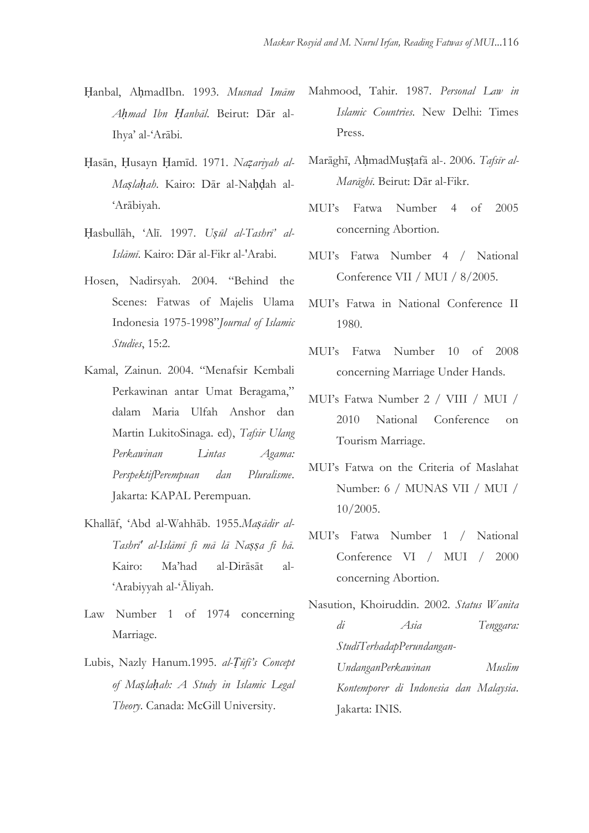- Ḥanbal, AḥmadIbn. 1993. *Musnad Imām Aḥmad Ibn Ḥanbāl*. Beirut: Dār al-Ihya" al-"Arābi.
- Ḥasān, Ḥusayn Ḥamīd. 1971. *Naẓariyah al-Maṣlaḥah*. Kairo: Dār al-Naḥḍah al- "Arābiyah.
- Ḥasbullāh, "Alī. 1997. *Uṣūl al-Tashrī' al-Islāmī*. Kairo: Dār al-Fikr al-'Arabi.
- Hosen, Nadirsyah. 2004. "Behind the Scenes: Fatwas of Majelis Ulama Indonesia 1975-1998"*Journal of Islamic Studies*, 15:2.
- Kamal, Zainun. 2004. "Menafsir Kembali Perkawinan antar Umat Beragama," dalam Maria Ulfah Anshor dan Martin LukitoSinaga. ed), *Tafsir Ulang Perkawinan Lintas Agama: PerspektifPerempuan dan Pluralisme*. Jakarta: KAPAL Perempuan.
- Khallāf, "Abd al-Wahhāb. 1955.*Maṣādir al-Tashrī' al-Islāmī fi mā lā Naṣṣa fi hā.*  Kairo: Ma"had al-Dirāsāt al- "Arabiyyah al-"Āliyah.
- Law Number 1 of 1974 concerning Marriage.
- Lubis, Nazly Hanum.1995. *al-Ṭūfī's Concept of Maṣlaḥah: A Study in Islamic Legal Theory*. Canada: McGill University.
- Mahmood, Tahir. 1987. *Personal Law in Islamic Countries*. New Delhi: Times Press.
- Marāghī, AḥmadMuṣṭafā al-. 2006. *Tafsīr al-Marāghī*. Beirut: Dār al-Fikr.
- MUI"s Fatwa Number 4 of 2005 concerning Abortion.
- MUI"s Fatwa Number 4 / National Conference VII / MUI / 8/2005.
- MUI"s Fatwa in National Conference II 1980.
- MUI"s Fatwa Number 10 of 2008 concerning Marriage Under Hands.
- MUI"s Fatwa Number 2 / VIII / MUI / 2010 National Conference on Tourism Marriage.
- MUI"s Fatwa on the Criteria of Maslahat Number: 6 / MUNAS VII / MUI / 10/2005.
- MUI"s Fatwa Number 1 / National Conference VI / MUI / 2000 concerning Abortion.
- Nasution, Khoiruddin. 2002. *Status Wanita di Asia Tenggara: StudiTerhadapPerundangan-UndanganPerkawinan Muslim Kontemporer di Indonesia dan Malaysia*. Jakarta: INIS.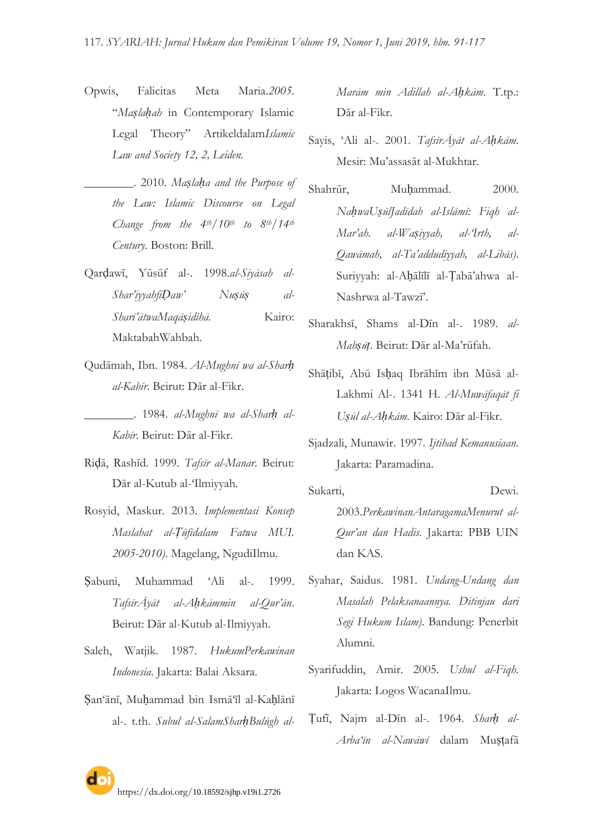- Opwis, Falicitas Meta Maria.*2005.* "*Maṣlaḥah* in Contemporary Islamic Legal Theory" Artikeldalam*Islamic Law and Society 12, 2, Leiden.*
- \_\_\_\_\_\_\_\_. 2010. *Maṣlaḥa and the Purpose of the Law: Islamic Discourse on Legal Change from the 4th/10th to 8th/14th Century.* Boston: Brill.
- Qarḍawī, Yūsūf al-. 1998.*al-Siyāsah al-Shar'iyyahfīḌaw' Nuṣūṣ al-Sharī'ātwaMaqāṣidihā.* Kairo: MaktabahWahbah.
- Qudāmah, Ibn. 1984. *Al-Mughnī wa al-Sharḥ al-Kabīr*. Beirut: Dār al-Fikr.
- \_\_\_\_\_\_\_\_. 1984. *al-Mughnī wa al-Sharḥ al-Kabīr*. Beirut: Dār al-Fikr.
- Riḍā, Rashīd. 1999. *Tafsīr al-Manar*. Beirut: Dār al-Kutub al-"Ilmiyyah.
- Rosyid, Maskur. 2013. *Implementasi Konsep Maslahat al-Ṭūfīdalam Fatwa MUI. 2005-2010)*. Magelang, NgudiIlmu.
- Ṣabuni, Muhammad "Ali al-. 1999. *TafsīrĀyāt al-Aḥkāmmin al-Qur'ān*. Beirut: Dār al-Kutub al-Ilmiyyah.
- Saleh, Watjik. 1987. *HukumPerkawinan Indonesia*. Jakarta: Balai Aksara.
- San'ānī, Muhammad bin Ismā'īl al-Kahlānī al-. t.th. *Subul al-SalamSharḥBulūgh al-*

*Marām min Adillah al-Aḥkām*. T.tp.: Dār al-Fikr.

- Sayis, "Ali al-. 2001. *TafsīrĀyāt al-Aḥkām*. Mesir: Mu"assasāt al-Mukhtar.
- Shahrūr. Muḥammad. 2000. *NaḥwaUṣūlJadīdah al-Islāmī: Fiqh al-Mar'ah. al-Waṣiyyah, al-'Irth, al-Qawāmah, al-Ta'addudiyyah, al-Libās)*. Suriyyah: al-Aḥālīlī al-Ṭabā"ahwa al-Nashrwa al-Tawzī".
- Sharakhsī, Shams al-Dīn al-. 1989. *al-Mabṣūṭ*. Beirut: Dār al-Ma"rūfah.
- Shāṭibī, Abū Isḥaq Ibrāhīm ibn Mūsā al-Lakhmi Al-. 1341 H. *Al-Muwāfaqāt fi Uṣūl al-Aḥkām*. Kairo: Dār al-Fikr.
- Sjadzali, Munawir. 1997. *Ijtihad Kemanusiaan*. Jakarta: Paramadina.
- Sukarti, Dewi. 2003.*PerkawinanAntaragamaMenurut al-Qur'an dan Hadis*. Jakarta: PBB UIN dan KAS.
- Syahar, Saidus. 1981. *Undang-Undang dan Masalah Pelaksanaannya. Ditinjau dari Segi Hukum Islam)*. Bandung: Penerbit Alumni.
- Syarifuddin, Amir. 2005. *Ushul al-Fiqh*. Jakarta: Logos WacanaIlmu.
- Ṭufī, Najm al-Dīn al-. 1964. *Sharḥ al-Arba'īn al-Nawāwī* dalam Muṣṭafā